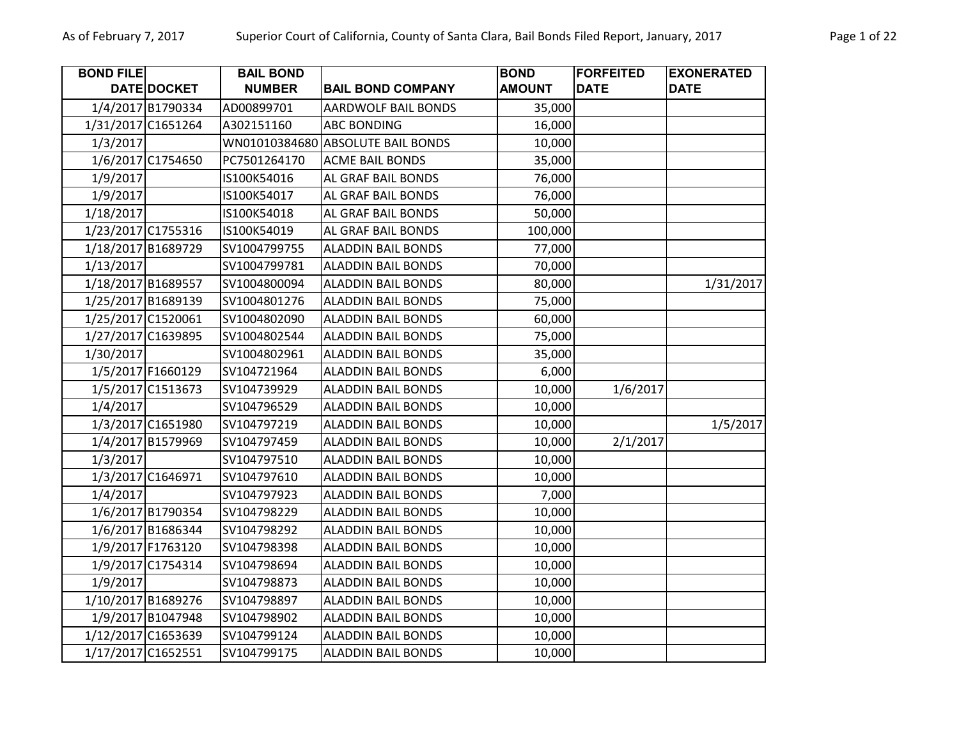| Page 1 c |  |
|----------|--|
|          |  |

| <b>BOND FILE</b> |                    | <b>BAIL BOND</b> |                            | <b>BOND</b>   | <b>FORFEITED</b> | <b>EXONERATED</b> |
|------------------|--------------------|------------------|----------------------------|---------------|------------------|-------------------|
|                  | DATE DOCKET        | <b>NUMBER</b>    | <b>BAIL BOND COMPANY</b>   | <b>AMOUNT</b> | <b>DATE</b>      | <b>DATE</b>       |
|                  | 1/4/2017 B1790334  | AD00899701       | <b>AARDWOLF BAIL BONDS</b> | 35,000        |                  |                   |
|                  | 1/31/2017 C1651264 | A302151160       | <b>ABC BONDING</b>         | 16,000        |                  |                   |
| 1/3/2017         |                    | WN01010384680    | <b>ABSOLUTE BAIL BONDS</b> | 10,000        |                  |                   |
|                  | 1/6/2017 C1754650  | PC7501264170     | <b>ACME BAIL BONDS</b>     | 35,000        |                  |                   |
| 1/9/2017         |                    | IS100K54016      | AL GRAF BAIL BONDS         | 76,000        |                  |                   |
| 1/9/2017         |                    | IS100K54017      | AL GRAF BAIL BONDS         | 76,000        |                  |                   |
| 1/18/2017        |                    | IS100K54018      | AL GRAF BAIL BONDS         | 50,000        |                  |                   |
|                  | 1/23/2017 C1755316 | IS100K54019      | AL GRAF BAIL BONDS         | 100,000       |                  |                   |
|                  | 1/18/2017 B1689729 | SV1004799755     | <b>ALADDIN BAIL BONDS</b>  | 77,000        |                  |                   |
| 1/13/2017        |                    | SV1004799781     | <b>ALADDIN BAIL BONDS</b>  | 70,000        |                  |                   |
|                  | 1/18/2017 B1689557 | SV1004800094     | <b>ALADDIN BAIL BONDS</b>  | 80,000        |                  | 1/31/2017         |
|                  | 1/25/2017 B1689139 | SV1004801276     | <b>ALADDIN BAIL BONDS</b>  | 75,000        |                  |                   |
|                  | 1/25/2017 C1520061 | SV1004802090     | <b>ALADDIN BAIL BONDS</b>  | 60,000        |                  |                   |
|                  | 1/27/2017 C1639895 | SV1004802544     | <b>ALADDIN BAIL BONDS</b>  | 75,000        |                  |                   |
| 1/30/2017        |                    | SV1004802961     | <b>ALADDIN BAIL BONDS</b>  | 35,000        |                  |                   |
|                  | 1/5/2017 F1660129  | SV104721964      | <b>ALADDIN BAIL BONDS</b>  | 6,000         |                  |                   |
|                  | 1/5/2017 C1513673  | SV104739929      | <b>ALADDIN BAIL BONDS</b>  | 10,000        | 1/6/2017         |                   |
| 1/4/2017         |                    | SV104796529      | <b>ALADDIN BAIL BONDS</b>  | 10,000        |                  |                   |
|                  | 1/3/2017 C1651980  | SV104797219      | <b>ALADDIN BAIL BONDS</b>  | 10,000        |                  | 1/5/2017          |
|                  | 1/4/2017 B1579969  | SV104797459      | <b>ALADDIN BAIL BONDS</b>  | 10,000        | 2/1/2017         |                   |
| 1/3/2017         |                    | SV104797510      | <b>ALADDIN BAIL BONDS</b>  | 10,000        |                  |                   |
|                  | 1/3/2017 C1646971  | SV104797610      | <b>ALADDIN BAIL BONDS</b>  | 10,000        |                  |                   |
| 1/4/2017         |                    | SV104797923      | <b>ALADDIN BAIL BONDS</b>  | 7,000         |                  |                   |
|                  | 1/6/2017 B1790354  | SV104798229      | <b>ALADDIN BAIL BONDS</b>  | 10,000        |                  |                   |
|                  | 1/6/2017 B1686344  | SV104798292      | <b>ALADDIN BAIL BONDS</b>  | 10,000        |                  |                   |
|                  | 1/9/2017 F1763120  | SV104798398      | <b>ALADDIN BAIL BONDS</b>  | 10,000        |                  |                   |
|                  | 1/9/2017 C1754314  | SV104798694      | <b>ALADDIN BAIL BONDS</b>  | 10,000        |                  |                   |
| 1/9/2017         |                    | SV104798873      | <b>ALADDIN BAIL BONDS</b>  | 10,000        |                  |                   |
|                  | 1/10/2017 B1689276 | SV104798897      | <b>ALADDIN BAIL BONDS</b>  | 10,000        |                  |                   |
|                  | 1/9/2017 B1047948  | SV104798902      | <b>ALADDIN BAIL BONDS</b>  | 10,000        |                  |                   |
|                  | 1/12/2017 C1653639 | SV104799124      | <b>ALADDIN BAIL BONDS</b>  | 10,000        |                  |                   |
|                  | 1/17/2017 C1652551 | SV104799175      | <b>ALADDIN BAIL BONDS</b>  | 10,000        |                  |                   |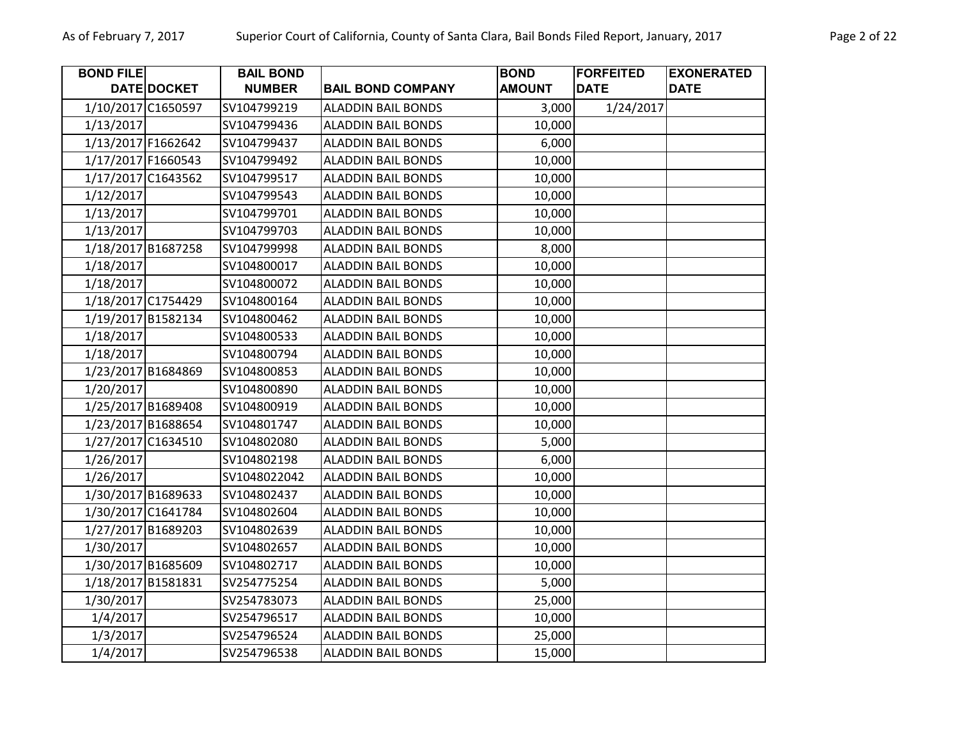| <b>BOND FILE</b>   |             | <b>BAIL BOND</b> |                           | <b>BOND</b>   | <b>FORFEITED</b> | <b>EXONERATED</b> |
|--------------------|-------------|------------------|---------------------------|---------------|------------------|-------------------|
|                    | DATE DOCKET | <b>NUMBER</b>    | <b>BAIL BOND COMPANY</b>  | <b>AMOUNT</b> | <b>DATE</b>      | <b>DATE</b>       |
| 1/10/2017 C1650597 |             | SV104799219      | <b>ALADDIN BAIL BONDS</b> | 3,000         | 1/24/2017        |                   |
| 1/13/2017          |             | SV104799436      | <b>ALADDIN BAIL BONDS</b> | 10,000        |                  |                   |
| 1/13/2017 F1662642 |             | SV104799437      | <b>ALADDIN BAIL BONDS</b> | 6,000         |                  |                   |
| 1/17/2017 F1660543 |             | SV104799492      | <b>ALADDIN BAIL BONDS</b> | 10,000        |                  |                   |
| 1/17/2017 C1643562 |             | SV104799517      | <b>ALADDIN BAIL BONDS</b> | 10,000        |                  |                   |
| 1/12/2017          |             | SV104799543      | <b>ALADDIN BAIL BONDS</b> | 10,000        |                  |                   |
| 1/13/2017          |             | SV104799701      | <b>ALADDIN BAIL BONDS</b> | 10,000        |                  |                   |
| 1/13/2017          |             | SV104799703      | <b>ALADDIN BAIL BONDS</b> | 10,000        |                  |                   |
| 1/18/2017 B1687258 |             | SV104799998      | <b>ALADDIN BAIL BONDS</b> | 8,000         |                  |                   |
| 1/18/2017          |             | SV104800017      | <b>ALADDIN BAIL BONDS</b> | 10,000        |                  |                   |
| 1/18/2017          |             | SV104800072      | <b>ALADDIN BAIL BONDS</b> | 10,000        |                  |                   |
| 1/18/2017 C1754429 |             | SV104800164      | <b>ALADDIN BAIL BONDS</b> | 10,000        |                  |                   |
| 1/19/2017 B1582134 |             | SV104800462      | <b>ALADDIN BAIL BONDS</b> | 10,000        |                  |                   |
| 1/18/2017          |             | SV104800533      | <b>ALADDIN BAIL BONDS</b> | 10,000        |                  |                   |
| 1/18/2017          |             | SV104800794      | <b>ALADDIN BAIL BONDS</b> | 10,000        |                  |                   |
| 1/23/2017 B1684869 |             | SV104800853      | <b>ALADDIN BAIL BONDS</b> | 10,000        |                  |                   |
| 1/20/2017          |             | SV104800890      | <b>ALADDIN BAIL BONDS</b> | 10,000        |                  |                   |
| 1/25/2017 B1689408 |             | SV104800919      | <b>ALADDIN BAIL BONDS</b> | 10,000        |                  |                   |
| 1/23/2017 B1688654 |             | SV104801747      | <b>ALADDIN BAIL BONDS</b> | 10,000        |                  |                   |
| 1/27/2017 C1634510 |             | SV104802080      | <b>ALADDIN BAIL BONDS</b> | 5,000         |                  |                   |
| 1/26/2017          |             | SV104802198      | <b>ALADDIN BAIL BONDS</b> | 6,000         |                  |                   |
| 1/26/2017          |             | SV1048022042     | <b>ALADDIN BAIL BONDS</b> | 10,000        |                  |                   |
| 1/30/2017 B1689633 |             | SV104802437      | <b>ALADDIN BAIL BONDS</b> | 10,000        |                  |                   |
| 1/30/2017 C1641784 |             | SV104802604      | <b>ALADDIN BAIL BONDS</b> | 10,000        |                  |                   |
| 1/27/2017 B1689203 |             | SV104802639      | <b>ALADDIN BAIL BONDS</b> | 10,000        |                  |                   |
| 1/30/2017          |             | SV104802657      | <b>ALADDIN BAIL BONDS</b> | 10,000        |                  |                   |
| 1/30/2017 B1685609 |             | SV104802717      | <b>ALADDIN BAIL BONDS</b> | 10,000        |                  |                   |
| 1/18/2017 B1581831 |             | SV254775254      | <b>ALADDIN BAIL BONDS</b> | 5,000         |                  |                   |
| 1/30/2017          |             | SV254783073      | <b>ALADDIN BAIL BONDS</b> | 25,000        |                  |                   |
| 1/4/2017           |             | SV254796517      | <b>ALADDIN BAIL BONDS</b> | 10,000        |                  |                   |
| 1/3/2017           |             | SV254796524      | <b>ALADDIN BAIL BONDS</b> | 25,000        |                  |                   |
| 1/4/2017           |             | SV254796538      | <b>ALADDIN BAIL BONDS</b> | 15,000        |                  |                   |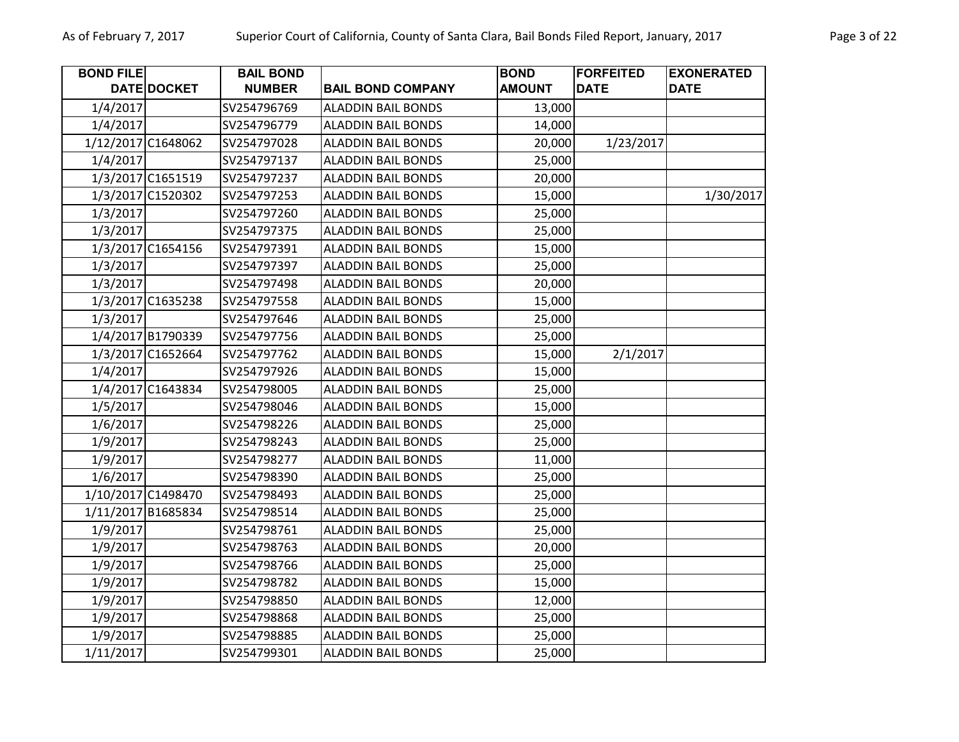| <b>BOND FILE</b> |                    | <b>BAIL BOND</b> |                           | <b>BOND</b>   | <b>FORFEITED</b> | <b>EXONERATED</b> |
|------------------|--------------------|------------------|---------------------------|---------------|------------------|-------------------|
|                  | DATE DOCKET        | <b>NUMBER</b>    | <b>BAIL BOND COMPANY</b>  | <b>AMOUNT</b> | <b>DATE</b>      | <b>DATE</b>       |
| 1/4/2017         |                    | SV254796769      | <b>ALADDIN BAIL BONDS</b> | 13,000        |                  |                   |
| 1/4/2017         |                    | SV254796779      | <b>ALADDIN BAIL BONDS</b> | 14,000        |                  |                   |
|                  | 1/12/2017 C1648062 | SV254797028      | <b>ALADDIN BAIL BONDS</b> | 20,000        | 1/23/2017        |                   |
| 1/4/2017         |                    | SV254797137      | <b>ALADDIN BAIL BONDS</b> | 25,000        |                  |                   |
|                  | 1/3/2017 C1651519  | SV254797237      | <b>ALADDIN BAIL BONDS</b> | 20,000        |                  |                   |
|                  | 1/3/2017 C1520302  | SV254797253      | <b>ALADDIN BAIL BONDS</b> | 15,000        |                  | 1/30/2017         |
| 1/3/2017         |                    | SV254797260      | <b>ALADDIN BAIL BONDS</b> | 25,000        |                  |                   |
| 1/3/2017         |                    | SV254797375      | <b>ALADDIN BAIL BONDS</b> | 25,000        |                  |                   |
|                  | 1/3/2017 C1654156  | SV254797391      | <b>ALADDIN BAIL BONDS</b> | 15,000        |                  |                   |
| 1/3/2017         |                    | SV254797397      | <b>ALADDIN BAIL BONDS</b> | 25,000        |                  |                   |
| 1/3/2017         |                    | SV254797498      | <b>ALADDIN BAIL BONDS</b> | 20,000        |                  |                   |
|                  | 1/3/2017 C1635238  | SV254797558      | <b>ALADDIN BAIL BONDS</b> | 15,000        |                  |                   |
| 1/3/2017         |                    | SV254797646      | <b>ALADDIN BAIL BONDS</b> | 25,000        |                  |                   |
|                  | 1/4/2017 B1790339  | SV254797756      | <b>ALADDIN BAIL BONDS</b> | 25,000        |                  |                   |
|                  | 1/3/2017 C1652664  | SV254797762      | <b>ALADDIN BAIL BONDS</b> | 15,000        | 2/1/2017         |                   |
| 1/4/2017         |                    | SV254797926      | <b>ALADDIN BAIL BONDS</b> | 15,000        |                  |                   |
|                  | 1/4/2017 C1643834  | SV254798005      | <b>ALADDIN BAIL BONDS</b> | 25,000        |                  |                   |
| 1/5/2017         |                    | SV254798046      | <b>ALADDIN BAIL BONDS</b> | 15,000        |                  |                   |
| 1/6/2017         |                    | SV254798226      | <b>ALADDIN BAIL BONDS</b> | 25,000        |                  |                   |
| 1/9/2017         |                    | SV254798243      | <b>ALADDIN BAIL BONDS</b> | 25,000        |                  |                   |
| 1/9/2017         |                    | SV254798277      | <b>ALADDIN BAIL BONDS</b> | 11,000        |                  |                   |
| 1/6/2017         |                    | SV254798390      | <b>ALADDIN BAIL BONDS</b> | 25,000        |                  |                   |
|                  | 1/10/2017 C1498470 | SV254798493      | <b>ALADDIN BAIL BONDS</b> | 25,000        |                  |                   |
|                  | 1/11/2017 B1685834 | SV254798514      | <b>ALADDIN BAIL BONDS</b> | 25,000        |                  |                   |
| 1/9/2017         |                    | SV254798761      | <b>ALADDIN BAIL BONDS</b> | 25,000        |                  |                   |
| 1/9/2017         |                    | SV254798763      | <b>ALADDIN BAIL BONDS</b> | 20,000        |                  |                   |
| 1/9/2017         |                    | SV254798766      | <b>ALADDIN BAIL BONDS</b> | 25,000        |                  |                   |
| 1/9/2017         |                    | SV254798782      | <b>ALADDIN BAIL BONDS</b> | 15,000        |                  |                   |
| 1/9/2017         |                    | SV254798850      | <b>ALADDIN BAIL BONDS</b> | 12,000        |                  |                   |
| 1/9/2017         |                    | SV254798868      | <b>ALADDIN BAIL BONDS</b> | 25,000        |                  |                   |
| 1/9/2017         |                    | SV254798885      | <b>ALADDIN BAIL BONDS</b> | 25,000        |                  |                   |
| 1/11/2017        |                    | SV254799301      | <b>ALADDIN BAIL BONDS</b> | 25,000        |                  |                   |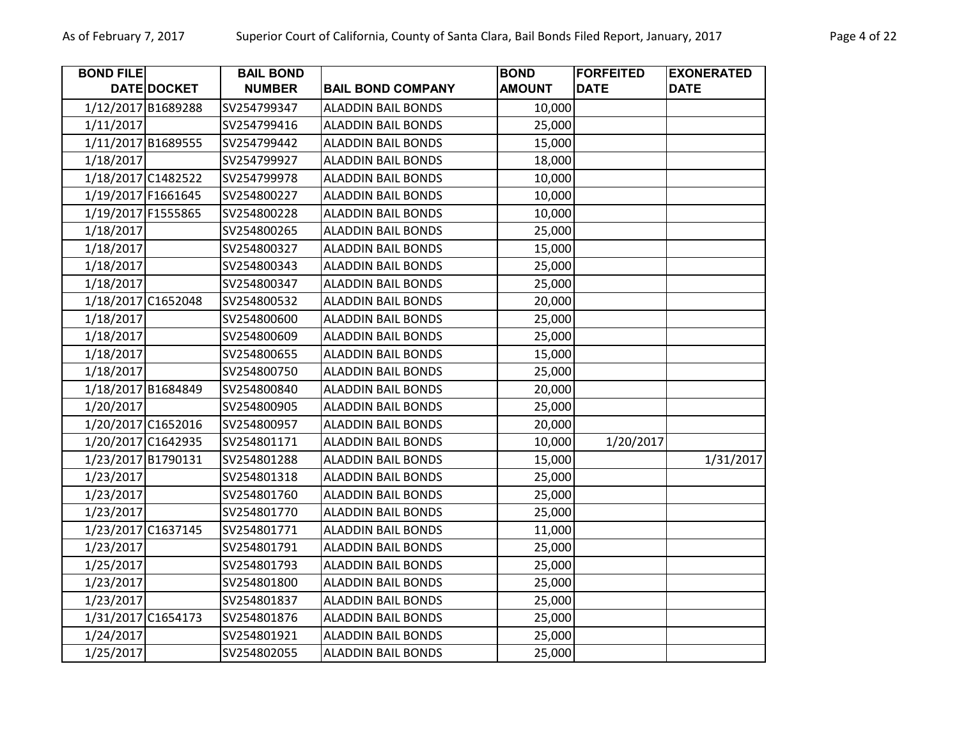| <b>BOND FILE</b>   |                    | <b>BAIL BOND</b> |                           | <b>BOND</b>   | <b>FORFEITED</b> | <b>EXONERATED</b> |
|--------------------|--------------------|------------------|---------------------------|---------------|------------------|-------------------|
|                    | <b>DATE DOCKET</b> | <b>NUMBER</b>    | <b>BAIL BOND COMPANY</b>  | <b>AMOUNT</b> | <b>DATE</b>      | <b>DATE</b>       |
| 1/12/2017 B1689288 |                    | SV254799347      | <b>ALADDIN BAIL BONDS</b> | 10,000        |                  |                   |
| 1/11/2017          |                    | SV254799416      | <b>ALADDIN BAIL BONDS</b> | 25,000        |                  |                   |
| 1/11/2017 B1689555 |                    | SV254799442      | <b>ALADDIN BAIL BONDS</b> | 15,000        |                  |                   |
| 1/18/2017          |                    | SV254799927      | <b>ALADDIN BAIL BONDS</b> | 18,000        |                  |                   |
| 1/18/2017 C1482522 |                    | SV254799978      | <b>ALADDIN BAIL BONDS</b> | 10,000        |                  |                   |
| 1/19/2017 F1661645 |                    | SV254800227      | <b>ALADDIN BAIL BONDS</b> | 10,000        |                  |                   |
| 1/19/2017 F1555865 |                    | SV254800228      | <b>ALADDIN BAIL BONDS</b> | 10,000        |                  |                   |
| 1/18/2017          |                    | SV254800265      | <b>ALADDIN BAIL BONDS</b> | 25,000        |                  |                   |
| 1/18/2017          |                    | SV254800327      | <b>ALADDIN BAIL BONDS</b> | 15,000        |                  |                   |
| 1/18/2017          |                    | SV254800343      | <b>ALADDIN BAIL BONDS</b> | 25,000        |                  |                   |
| 1/18/2017          |                    | SV254800347      | <b>ALADDIN BAIL BONDS</b> | 25,000        |                  |                   |
| 1/18/2017 C1652048 |                    | SV254800532      | <b>ALADDIN BAIL BONDS</b> | 20,000        |                  |                   |
| 1/18/2017          |                    | SV254800600      | <b>ALADDIN BAIL BONDS</b> | 25,000        |                  |                   |
| 1/18/2017          |                    | SV254800609      | <b>ALADDIN BAIL BONDS</b> | 25,000        |                  |                   |
| 1/18/2017          |                    | SV254800655      | <b>ALADDIN BAIL BONDS</b> | 15,000        |                  |                   |
| 1/18/2017          |                    | SV254800750      | <b>ALADDIN BAIL BONDS</b> | 25,000        |                  |                   |
| 1/18/2017 B1684849 |                    | SV254800840      | <b>ALADDIN BAIL BONDS</b> | 20,000        |                  |                   |
| 1/20/2017          |                    | SV254800905      | <b>ALADDIN BAIL BONDS</b> | 25,000        |                  |                   |
| 1/20/2017 C1652016 |                    | SV254800957      | <b>ALADDIN BAIL BONDS</b> | 20,000        |                  |                   |
| 1/20/2017 C1642935 |                    | SV254801171      | <b>ALADDIN BAIL BONDS</b> | 10,000        | 1/20/2017        |                   |
| 1/23/2017 B1790131 |                    | SV254801288      | <b>ALADDIN BAIL BONDS</b> | 15,000        |                  | 1/31/2017         |
| 1/23/2017          |                    | SV254801318      | <b>ALADDIN BAIL BONDS</b> | 25,000        |                  |                   |
| 1/23/2017          |                    | SV254801760      | <b>ALADDIN BAIL BONDS</b> | 25,000        |                  |                   |
| 1/23/2017          |                    | SV254801770      | <b>ALADDIN BAIL BONDS</b> | 25,000        |                  |                   |
| 1/23/2017 C1637145 |                    | SV254801771      | <b>ALADDIN BAIL BONDS</b> | 11,000        |                  |                   |
| 1/23/2017          |                    | SV254801791      | <b>ALADDIN BAIL BONDS</b> | 25,000        |                  |                   |
| 1/25/2017          |                    | SV254801793      | <b>ALADDIN BAIL BONDS</b> | 25,000        |                  |                   |
| 1/23/2017          |                    | SV254801800      | <b>ALADDIN BAIL BONDS</b> | 25,000        |                  |                   |
| 1/23/2017          |                    | SV254801837      | <b>ALADDIN BAIL BONDS</b> | 25,000        |                  |                   |
| 1/31/2017 C1654173 |                    | SV254801876      | <b>ALADDIN BAIL BONDS</b> | 25,000        |                  |                   |
| 1/24/2017          |                    | SV254801921      | <b>ALADDIN BAIL BONDS</b> | 25,000        |                  |                   |
| 1/25/2017          |                    | SV254802055      | <b>ALADDIN BAIL BONDS</b> | 25,000        |                  |                   |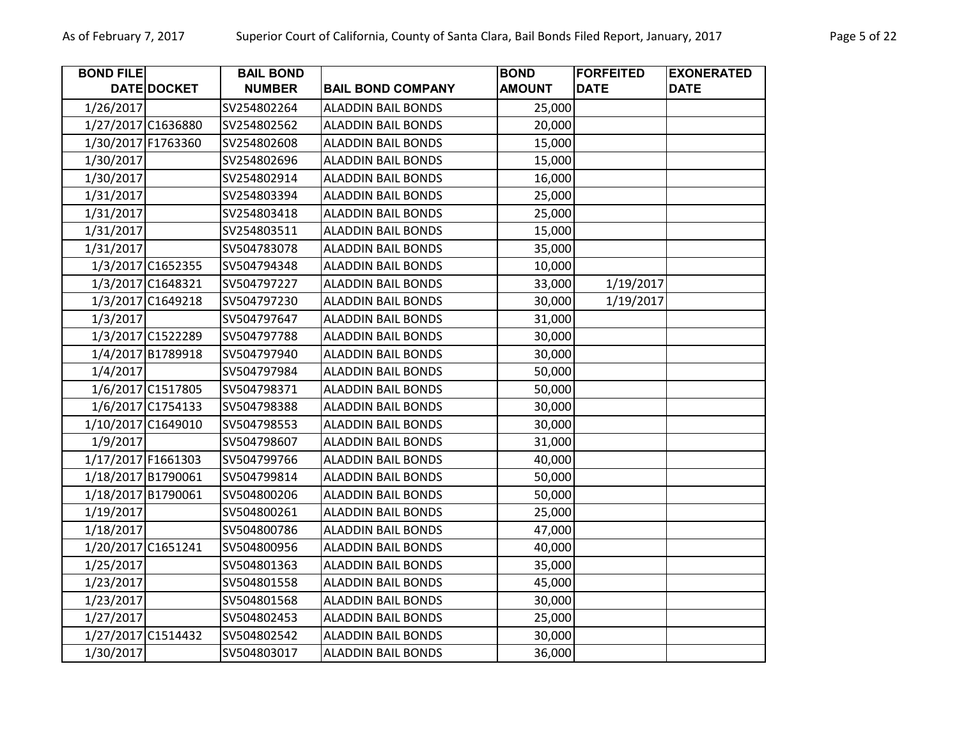| <b>BOND FILE</b>   |                    | <b>BAIL BOND</b> |                           | <b>BOND</b>   | <b>FORFEITED</b> | <b>EXONERATED</b> |
|--------------------|--------------------|------------------|---------------------------|---------------|------------------|-------------------|
|                    | <b>DATE DOCKET</b> | <b>NUMBER</b>    | <b>BAIL BOND COMPANY</b>  | <b>AMOUNT</b> | <b>DATE</b>      | <b>DATE</b>       |
| 1/26/2017          |                    | SV254802264      | <b>ALADDIN BAIL BONDS</b> | 25,000        |                  |                   |
| 1/27/2017 C1636880 |                    | SV254802562      | <b>ALADDIN BAIL BONDS</b> | 20,000        |                  |                   |
| 1/30/2017 F1763360 |                    | SV254802608      | <b>ALADDIN BAIL BONDS</b> | 15,000        |                  |                   |
| 1/30/2017          |                    | SV254802696      | <b>ALADDIN BAIL BONDS</b> | 15,000        |                  |                   |
| 1/30/2017          |                    | SV254802914      | <b>ALADDIN BAIL BONDS</b> | 16,000        |                  |                   |
| 1/31/2017          |                    | SV254803394      | <b>ALADDIN BAIL BONDS</b> | 25,000        |                  |                   |
| 1/31/2017          |                    | SV254803418      | <b>ALADDIN BAIL BONDS</b> | 25,000        |                  |                   |
| 1/31/2017          |                    | SV254803511      | <b>ALADDIN BAIL BONDS</b> | 15,000        |                  |                   |
| 1/31/2017          |                    | SV504783078      | <b>ALADDIN BAIL BONDS</b> | 35,000        |                  |                   |
|                    | 1/3/2017 C1652355  | SV504794348      | <b>ALADDIN BAIL BONDS</b> | 10,000        |                  |                   |
|                    | 1/3/2017 C1648321  | SV504797227      | <b>ALADDIN BAIL BONDS</b> | 33,000        | 1/19/2017        |                   |
|                    | 1/3/2017 C1649218  | SV504797230      | <b>ALADDIN BAIL BONDS</b> | 30,000        | 1/19/2017        |                   |
| 1/3/2017           |                    | SV504797647      | <b>ALADDIN BAIL BONDS</b> | 31,000        |                  |                   |
|                    | 1/3/2017 C1522289  | SV504797788      | <b>ALADDIN BAIL BONDS</b> | 30,000        |                  |                   |
|                    | 1/4/2017 B1789918  | SV504797940      | <b>ALADDIN BAIL BONDS</b> | 30,000        |                  |                   |
| 1/4/2017           |                    | SV504797984      | <b>ALADDIN BAIL BONDS</b> | 50,000        |                  |                   |
|                    | 1/6/2017 C1517805  | SV504798371      | <b>ALADDIN BAIL BONDS</b> | 50,000        |                  |                   |
|                    | 1/6/2017 C1754133  | SV504798388      | <b>ALADDIN BAIL BONDS</b> | 30,000        |                  |                   |
| 1/10/2017 C1649010 |                    | SV504798553      | <b>ALADDIN BAIL BONDS</b> | 30,000        |                  |                   |
| 1/9/2017           |                    | SV504798607      | <b>ALADDIN BAIL BONDS</b> | 31,000        |                  |                   |
| 1/17/2017 F1661303 |                    | SV504799766      | <b>ALADDIN BAIL BONDS</b> | 40,000        |                  |                   |
| 1/18/2017 B1790061 |                    | SV504799814      | <b>ALADDIN BAIL BONDS</b> | 50,000        |                  |                   |
| 1/18/2017 B1790061 |                    | SV504800206      | <b>ALADDIN BAIL BONDS</b> | 50,000        |                  |                   |
| 1/19/2017          |                    | SV504800261      | <b>ALADDIN BAIL BONDS</b> | 25,000        |                  |                   |
| 1/18/2017          |                    | SV504800786      | <b>ALADDIN BAIL BONDS</b> | 47,000        |                  |                   |
| 1/20/2017 C1651241 |                    | SV504800956      | <b>ALADDIN BAIL BONDS</b> | 40,000        |                  |                   |
| 1/25/2017          |                    | SV504801363      | <b>ALADDIN BAIL BONDS</b> | 35,000        |                  |                   |
| 1/23/2017          |                    | SV504801558      | <b>ALADDIN BAIL BONDS</b> | 45,000        |                  |                   |
| 1/23/2017          |                    | SV504801568      | <b>ALADDIN BAIL BONDS</b> | 30,000        |                  |                   |
| 1/27/2017          |                    | SV504802453      | <b>ALADDIN BAIL BONDS</b> | 25,000        |                  |                   |
| 1/27/2017 C1514432 |                    | SV504802542      | <b>ALADDIN BAIL BONDS</b> | 30,000        |                  |                   |
| 1/30/2017          |                    | SV504803017      | <b>ALADDIN BAIL BONDS</b> | 36,000        |                  |                   |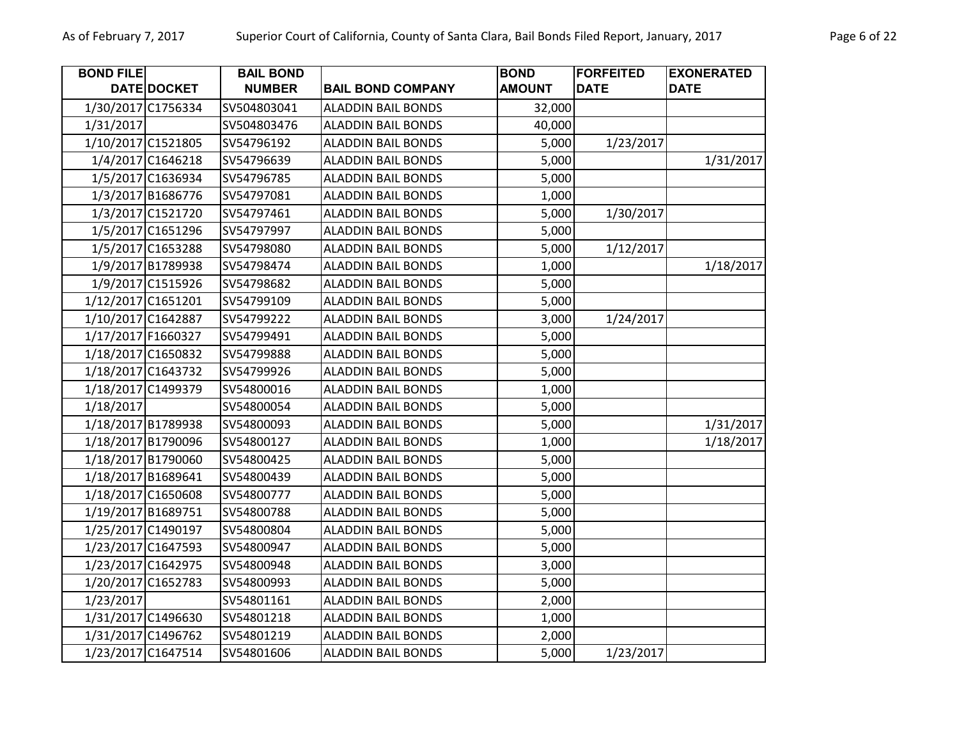| <b>BOND FILE</b> |                    | <b>BAIL BOND</b> |                           | <b>BOND</b>   | <b>FORFEITED</b> | <b>EXONERATED</b> |
|------------------|--------------------|------------------|---------------------------|---------------|------------------|-------------------|
|                  | DATE DOCKET        | <b>NUMBER</b>    | <b>BAIL BOND COMPANY</b>  | <b>AMOUNT</b> | <b>DATE</b>      | <b>DATE</b>       |
|                  | 1/30/2017 C1756334 | SV504803041      | <b>ALADDIN BAIL BONDS</b> | 32,000        |                  |                   |
| 1/31/2017        |                    | SV504803476      | <b>ALADDIN BAIL BONDS</b> | 40,000        |                  |                   |
|                  | 1/10/2017 C1521805 | SV54796192       | <b>ALADDIN BAIL BONDS</b> | 5,000         | 1/23/2017        |                   |
|                  | 1/4/2017 C1646218  | SV54796639       | <b>ALADDIN BAIL BONDS</b> | 5,000         |                  | 1/31/2017         |
|                  | 1/5/2017 C1636934  | SV54796785       | <b>ALADDIN BAIL BONDS</b> | 5,000         |                  |                   |
|                  | 1/3/2017 B1686776  | SV54797081       | <b>ALADDIN BAIL BONDS</b> | 1,000         |                  |                   |
|                  | 1/3/2017 C1521720  | SV54797461       | <b>ALADDIN BAIL BONDS</b> | 5,000         | 1/30/2017        |                   |
|                  | 1/5/2017 C1651296  | SV54797997       | <b>ALADDIN BAIL BONDS</b> | 5,000         |                  |                   |
|                  | 1/5/2017 C1653288  | SV54798080       | <b>ALADDIN BAIL BONDS</b> | 5,000         | 1/12/2017        |                   |
|                  | 1/9/2017 B1789938  | SV54798474       | <b>ALADDIN BAIL BONDS</b> | 1,000         |                  | 1/18/2017         |
|                  | 1/9/2017 C1515926  | SV54798682       | <b>ALADDIN BAIL BONDS</b> | 5,000         |                  |                   |
|                  | 1/12/2017 C1651201 | SV54799109       | <b>ALADDIN BAIL BONDS</b> | 5,000         |                  |                   |
|                  | 1/10/2017 C1642887 | SV54799222       | <b>ALADDIN BAIL BONDS</b> | 3,000         | 1/24/2017        |                   |
|                  | 1/17/2017 F1660327 | SV54799491       | <b>ALADDIN BAIL BONDS</b> | 5,000         |                  |                   |
|                  | 1/18/2017 C1650832 | SV54799888       | <b>ALADDIN BAIL BONDS</b> | 5,000         |                  |                   |
|                  | 1/18/2017 C1643732 | SV54799926       | <b>ALADDIN BAIL BONDS</b> | 5,000         |                  |                   |
|                  | 1/18/2017 C1499379 | SV54800016       | <b>ALADDIN BAIL BONDS</b> | 1,000         |                  |                   |
| 1/18/2017        |                    | SV54800054       | <b>ALADDIN BAIL BONDS</b> | 5,000         |                  |                   |
|                  | 1/18/2017 B1789938 | SV54800093       | <b>ALADDIN BAIL BONDS</b> | 5,000         |                  | 1/31/2017         |
|                  | 1/18/2017 B1790096 | SV54800127       | <b>ALADDIN BAIL BONDS</b> | 1,000         |                  | 1/18/2017         |
|                  | 1/18/2017 B1790060 | SV54800425       | <b>ALADDIN BAIL BONDS</b> | 5,000         |                  |                   |
|                  | 1/18/2017 B1689641 | SV54800439       | <b>ALADDIN BAIL BONDS</b> | 5,000         |                  |                   |
|                  | 1/18/2017 C1650608 | SV54800777       | <b>ALADDIN BAIL BONDS</b> | 5,000         |                  |                   |
|                  | 1/19/2017 B1689751 | SV54800788       | <b>ALADDIN BAIL BONDS</b> | 5,000         |                  |                   |
|                  | 1/25/2017 C1490197 | SV54800804       | <b>ALADDIN BAIL BONDS</b> | 5,000         |                  |                   |
|                  | 1/23/2017 C1647593 | SV54800947       | <b>ALADDIN BAIL BONDS</b> | 5,000         |                  |                   |
|                  | 1/23/2017 C1642975 | SV54800948       | <b>ALADDIN BAIL BONDS</b> | 3,000         |                  |                   |
|                  | 1/20/2017 C1652783 | SV54800993       | <b>ALADDIN BAIL BONDS</b> | 5,000         |                  |                   |
| 1/23/2017        |                    | SV54801161       | <b>ALADDIN BAIL BONDS</b> | 2,000         |                  |                   |
|                  | 1/31/2017 C1496630 | SV54801218       | <b>ALADDIN BAIL BONDS</b> | 1,000         |                  |                   |
|                  | 1/31/2017 C1496762 | SV54801219       | <b>ALADDIN BAIL BONDS</b> | 2,000         |                  |                   |
|                  | 1/23/2017 C1647514 | SV54801606       | <b>ALADDIN BAIL BONDS</b> | 5,000         | 1/23/2017        |                   |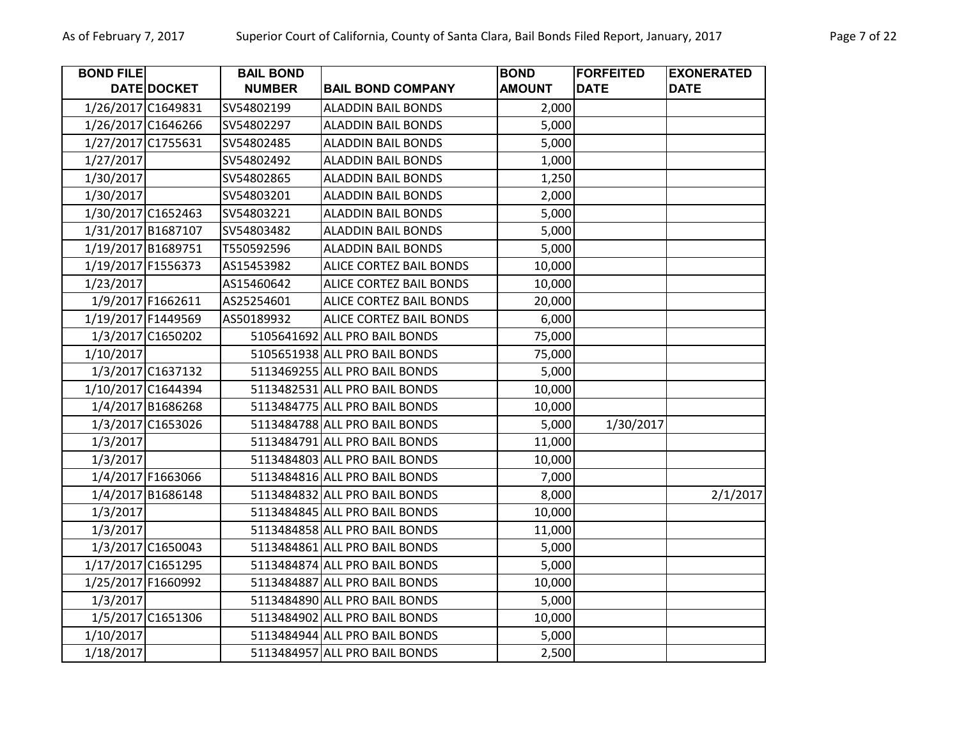| <b>BOND FILE</b>   |                    | <b>BAIL BOND</b> |                                | <b>BOND</b>   | <b>FORFEITED</b> | <b>EXONERATED</b> |
|--------------------|--------------------|------------------|--------------------------------|---------------|------------------|-------------------|
|                    | <b>DATE DOCKET</b> | <b>NUMBER</b>    | <b>BAIL BOND COMPANY</b>       | <b>AMOUNT</b> | <b>DATE</b>      | <b>DATE</b>       |
| 1/26/2017 C1649831 |                    | SV54802199       | <b>ALADDIN BAIL BONDS</b>      | 2,000         |                  |                   |
| 1/26/2017 C1646266 |                    | SV54802297       | <b>ALADDIN BAIL BONDS</b>      | 5,000         |                  |                   |
| 1/27/2017 C1755631 |                    | SV54802485       | <b>ALADDIN BAIL BONDS</b>      | 5,000         |                  |                   |
| 1/27/2017          |                    | SV54802492       | <b>ALADDIN BAIL BONDS</b>      | 1,000         |                  |                   |
| 1/30/2017          |                    | SV54802865       | <b>ALADDIN BAIL BONDS</b>      | 1,250         |                  |                   |
| 1/30/2017          |                    | SV54803201       | <b>ALADDIN BAIL BONDS</b>      | 2,000         |                  |                   |
| 1/30/2017 C1652463 |                    | SV54803221       | <b>ALADDIN BAIL BONDS</b>      | 5,000         |                  |                   |
| 1/31/2017 B1687107 |                    | SV54803482       | <b>ALADDIN BAIL BONDS</b>      | 5,000         |                  |                   |
| 1/19/2017 B1689751 |                    | T550592596       | <b>ALADDIN BAIL BONDS</b>      | 5,000         |                  |                   |
| 1/19/2017 F1556373 |                    | AS15453982       | ALICE CORTEZ BAIL BONDS        | 10,000        |                  |                   |
| 1/23/2017          |                    | AS15460642       | <b>ALICE CORTEZ BAIL BONDS</b> | 10,000        |                  |                   |
|                    | 1/9/2017 F1662611  | AS25254601       | ALICE CORTEZ BAIL BONDS        | 20,000        |                  |                   |
| 1/19/2017 F1449569 |                    | AS50189932       | ALICE CORTEZ BAIL BONDS        | 6,000         |                  |                   |
|                    | 1/3/2017 C1650202  |                  | 5105641692 ALL PRO BAIL BONDS  | 75,000        |                  |                   |
| 1/10/2017          |                    |                  | 5105651938 ALL PRO BAIL BONDS  | 75,000        |                  |                   |
|                    | 1/3/2017 C1637132  |                  | 5113469255 ALL PRO BAIL BONDS  | 5,000         |                  |                   |
| 1/10/2017 C1644394 |                    |                  | 5113482531 ALL PRO BAIL BONDS  | 10,000        |                  |                   |
|                    | 1/4/2017 B1686268  |                  | 5113484775 ALL PRO BAIL BONDS  | 10,000        |                  |                   |
|                    | 1/3/2017 C1653026  |                  | 5113484788 ALL PRO BAIL BONDS  | 5,000         | 1/30/2017        |                   |
| 1/3/2017           |                    |                  | 5113484791 ALL PRO BAIL BONDS  | 11,000        |                  |                   |
| 1/3/2017           |                    |                  | 5113484803 ALL PRO BAIL BONDS  | 10,000        |                  |                   |
|                    | 1/4/2017 F1663066  |                  | 5113484816 ALL PRO BAIL BONDS  | 7,000         |                  |                   |
|                    | 1/4/2017 B1686148  |                  | 5113484832 ALL PRO BAIL BONDS  | 8,000         |                  | 2/1/2017          |
| 1/3/2017           |                    |                  | 5113484845 ALL PRO BAIL BONDS  | 10,000        |                  |                   |
| 1/3/2017           |                    |                  | 5113484858 ALL PRO BAIL BONDS  | 11,000        |                  |                   |
|                    | 1/3/2017 C1650043  |                  | 5113484861 ALL PRO BAIL BONDS  | 5,000         |                  |                   |
| 1/17/2017 C1651295 |                    |                  | 5113484874 ALL PRO BAIL BONDS  | 5,000         |                  |                   |
| 1/25/2017 F1660992 |                    |                  | 5113484887 ALL PRO BAIL BONDS  | 10,000        |                  |                   |
| 1/3/2017           |                    |                  | 5113484890 ALL PRO BAIL BONDS  | 5,000         |                  |                   |
|                    | 1/5/2017 C1651306  |                  | 5113484902 ALL PRO BAIL BONDS  | 10,000        |                  |                   |
| 1/10/2017          |                    |                  | 5113484944 ALL PRO BAIL BONDS  | 5,000         |                  |                   |
| 1/18/2017          |                    |                  | 5113484957 ALL PRO BAIL BONDS  | 2,500         |                  |                   |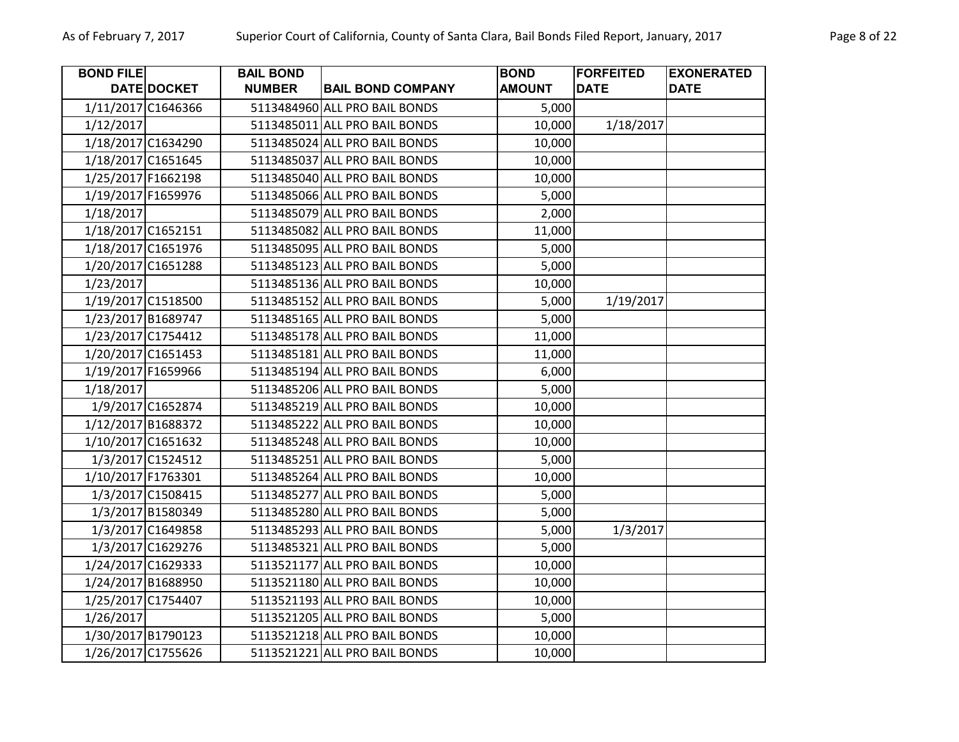| <b>BOND FILE</b>   |                   | <b>BAIL BOND</b> |                               | <b>BOND</b>   | <b>FORFEITED</b> | <b>EXONERATED</b> |
|--------------------|-------------------|------------------|-------------------------------|---------------|------------------|-------------------|
|                    | DATE DOCKET       | <b>NUMBER</b>    | <b>BAIL BOND COMPANY</b>      | <b>AMOUNT</b> | <b>DATE</b>      | <b>DATE</b>       |
| 1/11/2017 C1646366 |                   |                  | 5113484960 ALL PRO BAIL BONDS | 5,000         |                  |                   |
| 1/12/2017          |                   |                  | 5113485011 ALL PRO BAIL BONDS | 10,000        | 1/18/2017        |                   |
| 1/18/2017 C1634290 |                   |                  | 5113485024 ALL PRO BAIL BONDS | 10,000        |                  |                   |
| 1/18/2017 C1651645 |                   |                  | 5113485037 ALL PRO BAIL BONDS | 10,000        |                  |                   |
| 1/25/2017 F1662198 |                   |                  | 5113485040 ALL PRO BAIL BONDS | 10,000        |                  |                   |
| 1/19/2017 F1659976 |                   |                  | 5113485066 ALL PRO BAIL BONDS | 5,000         |                  |                   |
| 1/18/2017          |                   |                  | 5113485079 ALL PRO BAIL BONDS | 2,000         |                  |                   |
| 1/18/2017 C1652151 |                   |                  | 5113485082 ALL PRO BAIL BONDS | 11,000        |                  |                   |
| 1/18/2017 C1651976 |                   |                  | 5113485095 ALL PRO BAIL BONDS | 5,000         |                  |                   |
| 1/20/2017 C1651288 |                   |                  | 5113485123 ALL PRO BAIL BONDS | 5,000         |                  |                   |
| 1/23/2017          |                   |                  | 5113485136 ALL PRO BAIL BONDS | 10,000        |                  |                   |
| 1/19/2017 C1518500 |                   |                  | 5113485152 ALL PRO BAIL BONDS | 5,000         | 1/19/2017        |                   |
| 1/23/2017 B1689747 |                   |                  | 5113485165 ALL PRO BAIL BONDS | 5,000         |                  |                   |
| 1/23/2017 C1754412 |                   |                  | 5113485178 ALL PRO BAIL BONDS | 11,000        |                  |                   |
| 1/20/2017 C1651453 |                   |                  | 5113485181 ALL PRO BAIL BONDS | 11,000        |                  |                   |
| 1/19/2017 F1659966 |                   |                  | 5113485194 ALL PRO BAIL BONDS | 6,000         |                  |                   |
| 1/18/2017          |                   |                  | 5113485206 ALL PRO BAIL BONDS | 5,000         |                  |                   |
|                    | 1/9/2017 C1652874 |                  | 5113485219 ALL PRO BAIL BONDS | 10,000        |                  |                   |
| 1/12/2017 B1688372 |                   |                  | 5113485222 ALL PRO BAIL BONDS | 10,000        |                  |                   |
| 1/10/2017 C1651632 |                   |                  | 5113485248 ALL PRO BAIL BONDS | 10,000        |                  |                   |
|                    | 1/3/2017 C1524512 |                  | 5113485251 ALL PRO BAIL BONDS | 5,000         |                  |                   |
| 1/10/2017 F1763301 |                   |                  | 5113485264 ALL PRO BAIL BONDS | 10,000        |                  |                   |
|                    | 1/3/2017 C1508415 |                  | 5113485277 ALL PRO BAIL BONDS | 5,000         |                  |                   |
|                    | 1/3/2017 B1580349 |                  | 5113485280 ALL PRO BAIL BONDS | 5,000         |                  |                   |
|                    | 1/3/2017 C1649858 |                  | 5113485293 ALL PRO BAIL BONDS | 5,000         | 1/3/2017         |                   |
|                    | 1/3/2017 C1629276 |                  | 5113485321 ALL PRO BAIL BONDS | 5,000         |                  |                   |
| 1/24/2017 C1629333 |                   |                  | 5113521177 ALL PRO BAIL BONDS | 10,000        |                  |                   |
| 1/24/2017 B1688950 |                   |                  | 5113521180 ALL PRO BAIL BONDS | 10,000        |                  |                   |
| 1/25/2017 C1754407 |                   |                  | 5113521193 ALL PRO BAIL BONDS | 10,000        |                  |                   |
| 1/26/2017          |                   |                  | 5113521205 ALL PRO BAIL BONDS | 5,000         |                  |                   |
| 1/30/2017 B1790123 |                   |                  | 5113521218 ALL PRO BAIL BONDS | 10,000        |                  |                   |
| 1/26/2017 C1755626 |                   |                  | 5113521221 ALL PRO BAIL BONDS | 10,000        |                  |                   |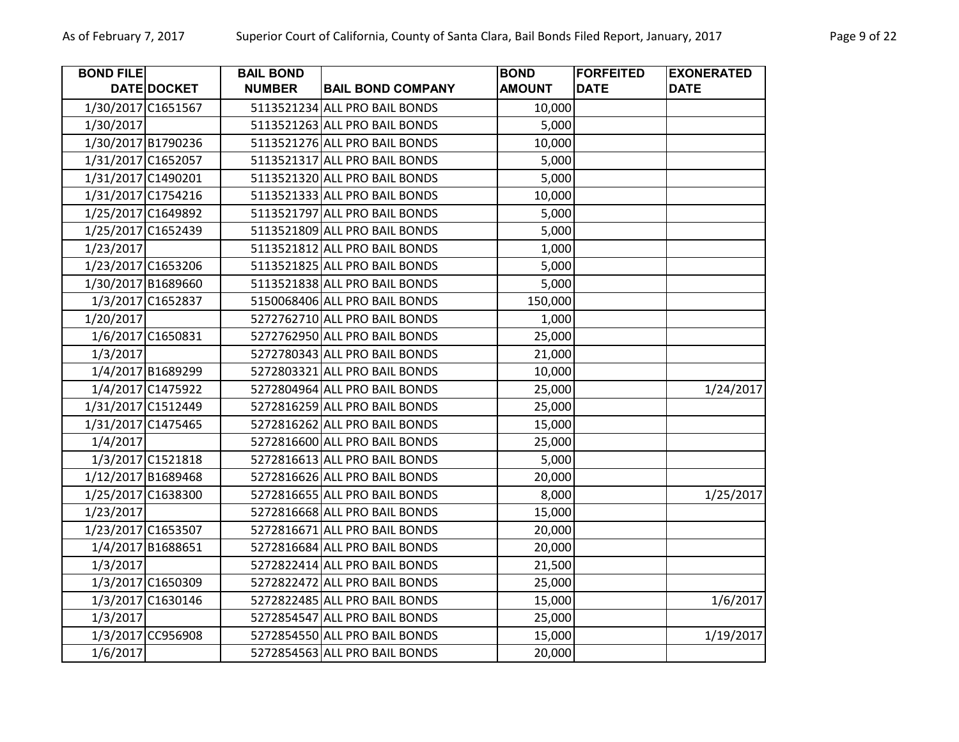| <b>BOND FILET</b> |                    | <b>BAIL BOND</b> |                               | <b>BOND</b>   | <b>FORFEITED</b> | <b>EXONERATED</b> |
|-------------------|--------------------|------------------|-------------------------------|---------------|------------------|-------------------|
|                   | <b>DATE DOCKET</b> | <b>NUMBER</b>    | <b>BAIL BOND COMPANY</b>      | <b>AMOUNT</b> | <b>DATE</b>      | <b>DATE</b>       |
|                   | 1/30/2017 C1651567 |                  | 5113521234 ALL PRO BAIL BONDS | 10,000        |                  |                   |
| 1/30/2017         |                    |                  | 5113521263 ALL PRO BAIL BONDS | 5,000         |                  |                   |
|                   | 1/30/2017 B1790236 |                  | 5113521276 ALL PRO BAIL BONDS | 10,000        |                  |                   |
|                   | 1/31/2017 C1652057 |                  | 5113521317 ALL PRO BAIL BONDS | 5,000         |                  |                   |
|                   | 1/31/2017 C1490201 |                  | 5113521320 ALL PRO BAIL BONDS | 5,000         |                  |                   |
|                   | 1/31/2017 C1754216 |                  | 5113521333 ALL PRO BAIL BONDS | 10,000        |                  |                   |
|                   | 1/25/2017 C1649892 |                  | 5113521797 ALL PRO BAIL BONDS | 5,000         |                  |                   |
|                   | 1/25/2017 C1652439 |                  | 5113521809 ALL PRO BAIL BONDS | 5,000         |                  |                   |
| 1/23/2017         |                    |                  | 5113521812 ALL PRO BAIL BONDS | 1,000         |                  |                   |
|                   | 1/23/2017 C1653206 |                  | 5113521825 ALL PRO BAIL BONDS | 5,000         |                  |                   |
|                   | 1/30/2017 B1689660 |                  | 5113521838 ALL PRO BAIL BONDS | 5,000         |                  |                   |
|                   | 1/3/2017 C1652837  |                  | 5150068406 ALL PRO BAIL BONDS | 150,000       |                  |                   |
| 1/20/2017         |                    |                  | 5272762710 ALL PRO BAIL BONDS | 1,000         |                  |                   |
|                   | 1/6/2017 C1650831  |                  | 5272762950 ALL PRO BAIL BONDS | 25,000        |                  |                   |
| 1/3/2017          |                    |                  | 5272780343 ALL PRO BAIL BONDS | 21,000        |                  |                   |
|                   | 1/4/2017 B1689299  |                  | 5272803321 ALL PRO BAIL BONDS | 10,000        |                  |                   |
|                   | 1/4/2017 C1475922  |                  | 5272804964 ALL PRO BAIL BONDS | 25,000        |                  | 1/24/2017         |
|                   | 1/31/2017 C1512449 |                  | 5272816259 ALL PRO BAIL BONDS | 25,000        |                  |                   |
|                   | 1/31/2017 C1475465 |                  | 5272816262 ALL PRO BAIL BONDS | 15,000        |                  |                   |
| 1/4/2017          |                    |                  | 5272816600 ALL PRO BAIL BONDS | 25,000        |                  |                   |
|                   | 1/3/2017 C1521818  |                  | 5272816613 ALL PRO BAIL BONDS | 5,000         |                  |                   |
|                   | 1/12/2017 B1689468 |                  | 5272816626 ALL PRO BAIL BONDS | 20,000        |                  |                   |
|                   | 1/25/2017 C1638300 |                  | 5272816655 ALL PRO BAIL BONDS | 8,000         |                  | 1/25/2017         |
| 1/23/2017         |                    |                  | 5272816668 ALL PRO BAIL BONDS | 15,000        |                  |                   |
|                   | 1/23/2017 C1653507 |                  | 5272816671 ALL PRO BAIL BONDS | 20,000        |                  |                   |
|                   | 1/4/2017 B1688651  |                  | 5272816684 ALL PRO BAIL BONDS | 20,000        |                  |                   |
| 1/3/2017          |                    |                  | 5272822414 ALL PRO BAIL BONDS | 21,500        |                  |                   |
|                   | 1/3/2017 C1650309  |                  | 5272822472 ALL PRO BAIL BONDS | 25,000        |                  |                   |
|                   | 1/3/2017 C1630146  |                  | 5272822485 ALL PRO BAIL BONDS | 15,000        |                  | 1/6/2017          |
| 1/3/2017          |                    |                  | 5272854547 ALL PRO BAIL BONDS | 25,000        |                  |                   |
|                   | 1/3/2017 CC956908  |                  | 5272854550 ALL PRO BAIL BONDS | 15,000        |                  | 1/19/2017         |
| 1/6/2017          |                    |                  | 5272854563 ALL PRO BAIL BONDS | 20,000        |                  |                   |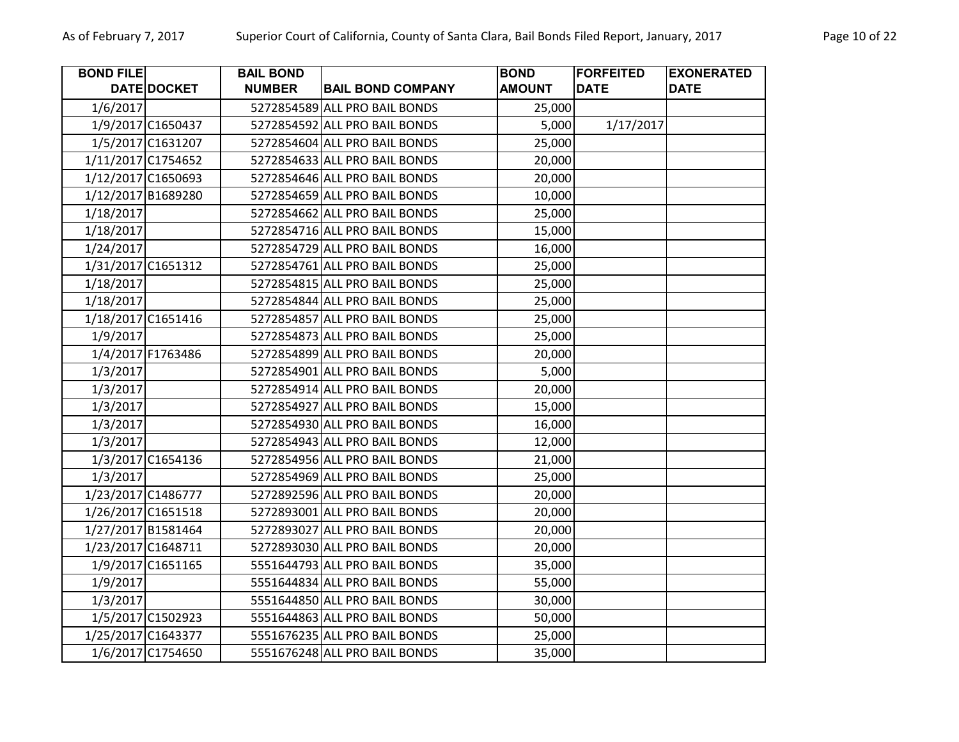| <b>BOND FILE</b> |                    | <b>BAIL BOND</b> |                               | <b>BOND</b>   | <b>FORFEITED</b> | <b>EXONERATED</b> |
|------------------|--------------------|------------------|-------------------------------|---------------|------------------|-------------------|
|                  | DATE DOCKET        | <b>NUMBER</b>    | <b>BAIL BOND COMPANY</b>      | <b>AMOUNT</b> | <b>DATE</b>      | <b>DATE</b>       |
| 1/6/2017         |                    |                  | 5272854589 ALL PRO BAIL BONDS | 25,000        |                  |                   |
|                  | 1/9/2017 C1650437  |                  | 5272854592 ALL PRO BAIL BONDS | 5,000         | 1/17/2017        |                   |
|                  | 1/5/2017 C1631207  |                  | 5272854604 ALL PRO BAIL BONDS | 25,000        |                  |                   |
|                  | 1/11/2017 C1754652 |                  | 5272854633 ALL PRO BAIL BONDS | 20,000        |                  |                   |
|                  | 1/12/2017 C1650693 |                  | 5272854646 ALL PRO BAIL BONDS | 20,000        |                  |                   |
|                  | 1/12/2017 B1689280 |                  | 5272854659 ALL PRO BAIL BONDS | 10,000        |                  |                   |
| 1/18/2017        |                    |                  | 5272854662 ALL PRO BAIL BONDS | 25,000        |                  |                   |
| 1/18/2017        |                    |                  | 5272854716 ALL PRO BAIL BONDS | 15,000        |                  |                   |
| 1/24/2017        |                    |                  | 5272854729 ALL PRO BAIL BONDS | 16,000        |                  |                   |
|                  | 1/31/2017 C1651312 |                  | 5272854761 ALL PRO BAIL BONDS | 25,000        |                  |                   |
| 1/18/2017        |                    |                  | 5272854815 ALL PRO BAIL BONDS | 25,000        |                  |                   |
| 1/18/2017        |                    |                  | 5272854844 ALL PRO BAIL BONDS | 25,000        |                  |                   |
|                  | 1/18/2017 C1651416 |                  | 5272854857 ALL PRO BAIL BONDS | 25,000        |                  |                   |
| 1/9/2017         |                    |                  | 5272854873 ALL PRO BAIL BONDS | 25,000        |                  |                   |
|                  | 1/4/2017 F1763486  |                  | 5272854899 ALL PRO BAIL BONDS | 20,000        |                  |                   |
| 1/3/2017         |                    |                  | 5272854901 ALL PRO BAIL BONDS | 5,000         |                  |                   |
| 1/3/2017         |                    |                  | 5272854914 ALL PRO BAIL BONDS | 20,000        |                  |                   |
| 1/3/2017         |                    |                  | 5272854927 ALL PRO BAIL BONDS | 15,000        |                  |                   |
| 1/3/2017         |                    |                  | 5272854930 ALL PRO BAIL BONDS | 16,000        |                  |                   |
| 1/3/2017         |                    |                  | 5272854943 ALL PRO BAIL BONDS | 12,000        |                  |                   |
|                  | 1/3/2017 C1654136  |                  | 5272854956 ALL PRO BAIL BONDS | 21,000        |                  |                   |
| 1/3/2017         |                    |                  | 5272854969 ALL PRO BAIL BONDS | 25,000        |                  |                   |
|                  | 1/23/2017 C1486777 |                  | 5272892596 ALL PRO BAIL BONDS | 20,000        |                  |                   |
|                  | 1/26/2017 C1651518 |                  | 5272893001 ALL PRO BAIL BONDS | 20,000        |                  |                   |
|                  | 1/27/2017 B1581464 |                  | 5272893027 ALL PRO BAIL BONDS | 20,000        |                  |                   |
|                  | 1/23/2017 C1648711 |                  | 5272893030 ALL PRO BAIL BONDS | 20,000        |                  |                   |
|                  | 1/9/2017 C1651165  |                  | 5551644793 ALL PRO BAIL BONDS | 35,000        |                  |                   |
| 1/9/2017         |                    |                  | 5551644834 ALL PRO BAIL BONDS | 55,000        |                  |                   |
| 1/3/2017         |                    |                  | 5551644850 ALL PRO BAIL BONDS | 30,000        |                  |                   |
|                  | 1/5/2017 C1502923  |                  | 5551644863 ALL PRO BAIL BONDS | 50,000        |                  |                   |
|                  | 1/25/2017 C1643377 |                  | 5551676235 ALL PRO BAIL BONDS | 25,000        |                  |                   |
|                  | 1/6/2017 C1754650  |                  | 5551676248 ALL PRO BAIL BONDS | 35,000        |                  |                   |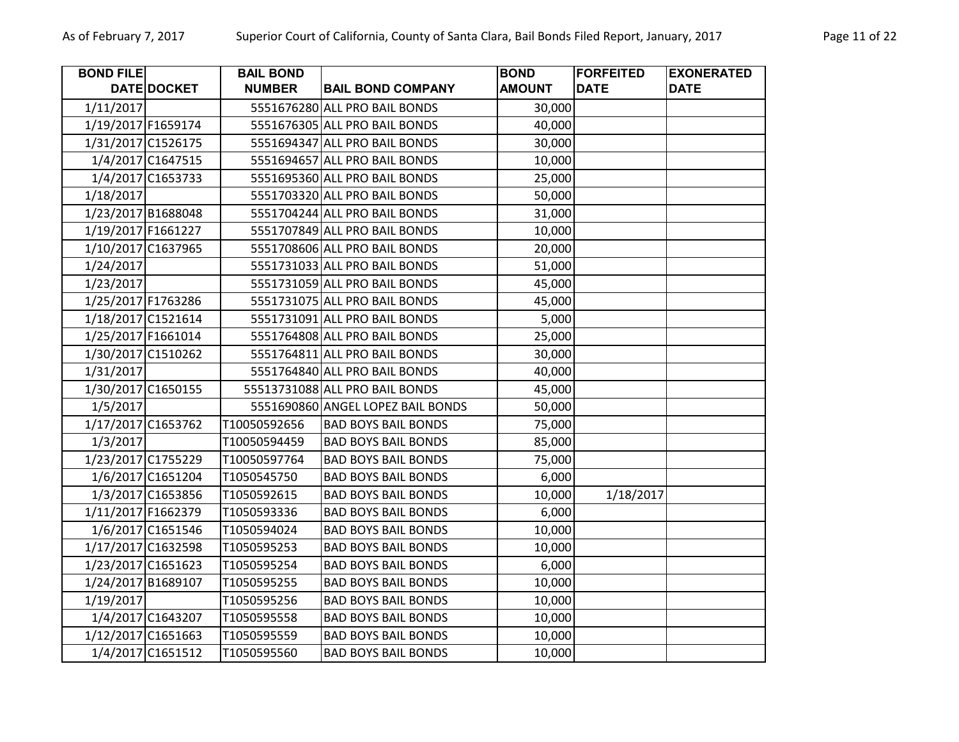| <b>BOND FILE</b>   |                    | <b>BAIL BOND</b> |                                   | <b>BOND</b>   | <b>FORFEITED</b> | <b>EXONERATED</b> |
|--------------------|--------------------|------------------|-----------------------------------|---------------|------------------|-------------------|
|                    | DATE DOCKET        | <b>NUMBER</b>    | <b>BAIL BOND COMPANY</b>          | <b>AMOUNT</b> | <b>DATE</b>      | <b>DATE</b>       |
| 1/11/2017          |                    |                  | 5551676280 ALL PRO BAIL BONDS     | 30,000        |                  |                   |
|                    | 1/19/2017 F1659174 |                  | 5551676305 ALL PRO BAIL BONDS     | 40,000        |                  |                   |
|                    | 1/31/2017 C1526175 |                  | 5551694347 ALL PRO BAIL BONDS     | 30,000        |                  |                   |
|                    | 1/4/2017 C1647515  |                  | 5551694657 ALL PRO BAIL BONDS     | 10,000        |                  |                   |
|                    | 1/4/2017 C1653733  |                  | 5551695360 ALL PRO BAIL BONDS     | 25,000        |                  |                   |
| 1/18/2017          |                    |                  | 5551703320 ALL PRO BAIL BONDS     | 50,000        |                  |                   |
|                    | 1/23/2017 B1688048 |                  | 5551704244 ALL PRO BAIL BONDS     | 31,000        |                  |                   |
|                    | 1/19/2017 F1661227 |                  | 5551707849 ALL PRO BAIL BONDS     | 10,000        |                  |                   |
|                    | 1/10/2017 C1637965 |                  | 5551708606 ALL PRO BAIL BONDS     | 20,000        |                  |                   |
| 1/24/2017          |                    |                  | 5551731033 ALL PRO BAIL BONDS     | 51,000        |                  |                   |
| 1/23/2017          |                    |                  | 5551731059 ALL PRO BAIL BONDS     | 45,000        |                  |                   |
|                    | 1/25/2017 F1763286 |                  | 5551731075 ALL PRO BAIL BONDS     | 45,000        |                  |                   |
|                    | 1/18/2017 C1521614 |                  | 5551731091 ALL PRO BAIL BONDS     | 5,000         |                  |                   |
|                    | 1/25/2017 F1661014 |                  | 5551764808 ALL PRO BAIL BONDS     | 25,000        |                  |                   |
|                    | 1/30/2017 C1510262 |                  | 5551764811 ALL PRO BAIL BONDS     | 30,000        |                  |                   |
| 1/31/2017          |                    |                  | 5551764840 ALL PRO BAIL BONDS     | 40,000        |                  |                   |
|                    | 1/30/2017 C1650155 |                  | 55513731088 ALL PRO BAIL BONDS    | 45,000        |                  |                   |
| 1/5/2017           |                    |                  | 5551690860 ANGEL LOPEZ BAIL BONDS | 50,000        |                  |                   |
|                    | 1/17/2017 C1653762 | T10050592656     | <b>BAD BOYS BAIL BONDS</b>        | 75,000        |                  |                   |
| 1/3/2017           |                    | T10050594459     | <b>BAD BOYS BAIL BONDS</b>        | 85,000        |                  |                   |
|                    | 1/23/2017 C1755229 | T10050597764     | <b>BAD BOYS BAIL BONDS</b>        | 75,000        |                  |                   |
|                    | 1/6/2017 C1651204  | T1050545750      | <b>BAD BOYS BAIL BONDS</b>        | 6,000         |                  |                   |
|                    | 1/3/2017 C1653856  | T1050592615      | <b>BAD BOYS BAIL BONDS</b>        | 10,000        | 1/18/2017        |                   |
| 1/11/2017 F1662379 |                    | T1050593336      | <b>BAD BOYS BAIL BONDS</b>        | 6,000         |                  |                   |
|                    | 1/6/2017 C1651546  | T1050594024      | <b>BAD BOYS BAIL BONDS</b>        | 10,000        |                  |                   |
|                    | 1/17/2017 C1632598 | T1050595253      | <b>BAD BOYS BAIL BONDS</b>        | 10,000        |                  |                   |
|                    | 1/23/2017 C1651623 | T1050595254      | <b>BAD BOYS BAIL BONDS</b>        | 6,000         |                  |                   |
|                    | 1/24/2017 B1689107 | T1050595255      | <b>BAD BOYS BAIL BONDS</b>        | 10,000        |                  |                   |
| 1/19/2017          |                    | T1050595256      | <b>BAD BOYS BAIL BONDS</b>        | 10,000        |                  |                   |
|                    | 1/4/2017 C1643207  | T1050595558      | <b>BAD BOYS BAIL BONDS</b>        | 10,000        |                  |                   |
|                    | 1/12/2017 C1651663 | T1050595559      | <b>BAD BOYS BAIL BONDS</b>        | 10,000        |                  |                   |
|                    | 1/4/2017 C1651512  | T1050595560      | <b>BAD BOYS BAIL BONDS</b>        | 10,000        |                  |                   |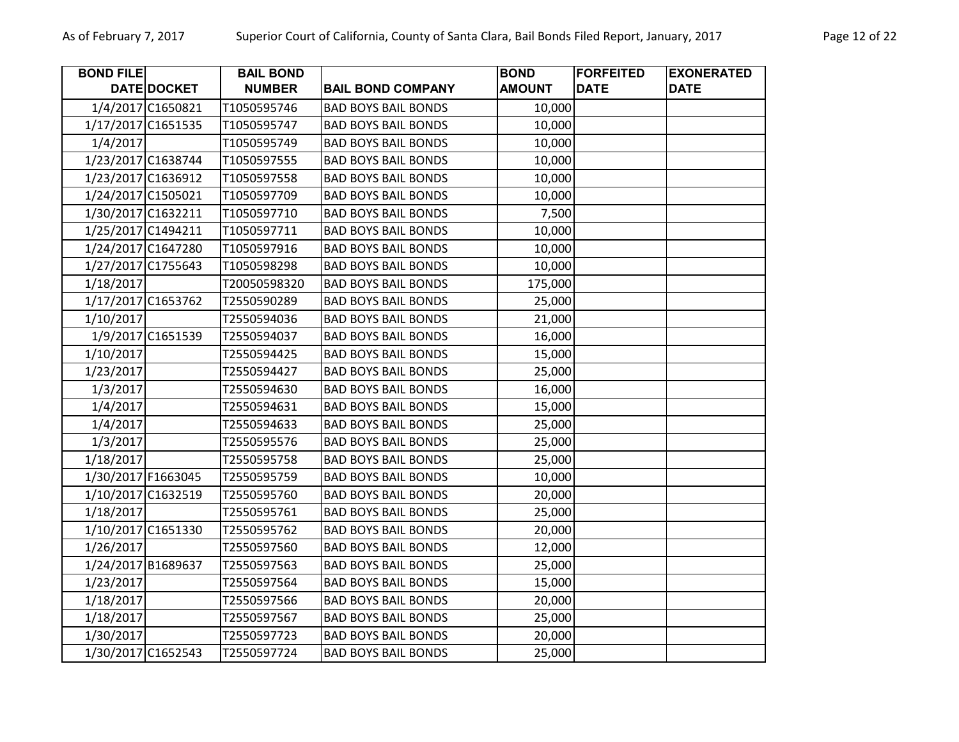| <b>BOND FILE</b> |                    | <b>BAIL BOND</b> |                            | <b>BOND</b>   | <b>FORFEITED</b> | <b>EXONERATED</b> |
|------------------|--------------------|------------------|----------------------------|---------------|------------------|-------------------|
|                  | DATE DOCKET        | <b>NUMBER</b>    | <b>BAIL BOND COMPANY</b>   | <b>AMOUNT</b> | <b>DATE</b>      | <b>DATE</b>       |
|                  | 1/4/2017 C1650821  | T1050595746      | <b>BAD BOYS BAIL BONDS</b> | 10,000        |                  |                   |
|                  | 1/17/2017 C1651535 | T1050595747      | <b>BAD BOYS BAIL BONDS</b> | 10,000        |                  |                   |
| 1/4/2017         |                    | T1050595749      | <b>BAD BOYS BAIL BONDS</b> | 10,000        |                  |                   |
|                  | 1/23/2017 C1638744 | T1050597555      | <b>BAD BOYS BAIL BONDS</b> | 10,000        |                  |                   |
|                  | 1/23/2017 C1636912 | T1050597558      | <b>BAD BOYS BAIL BONDS</b> | 10,000        |                  |                   |
|                  | 1/24/2017 C1505021 | T1050597709      | <b>BAD BOYS BAIL BONDS</b> | 10,000        |                  |                   |
|                  | 1/30/2017 C1632211 | T1050597710      | <b>BAD BOYS BAIL BONDS</b> | 7,500         |                  |                   |
|                  | 1/25/2017 C1494211 | T1050597711      | <b>BAD BOYS BAIL BONDS</b> | 10,000        |                  |                   |
|                  | 1/24/2017 C1647280 | T1050597916      | <b>BAD BOYS BAIL BONDS</b> | 10,000        |                  |                   |
|                  | 1/27/2017 C1755643 | T1050598298      | <b>BAD BOYS BAIL BONDS</b> | 10,000        |                  |                   |
| 1/18/2017        |                    | T20050598320     | <b>BAD BOYS BAIL BONDS</b> | 175,000       |                  |                   |
|                  | 1/17/2017 C1653762 | T2550590289      | <b>BAD BOYS BAIL BONDS</b> | 25,000        |                  |                   |
| 1/10/2017        |                    | T2550594036      | <b>BAD BOYS BAIL BONDS</b> | 21,000        |                  |                   |
|                  | 1/9/2017 C1651539  | T2550594037      | <b>BAD BOYS BAIL BONDS</b> | 16,000        |                  |                   |
| 1/10/2017        |                    | T2550594425      | <b>BAD BOYS BAIL BONDS</b> | 15,000        |                  |                   |
| 1/23/2017        |                    | T2550594427      | <b>BAD BOYS BAIL BONDS</b> | 25,000        |                  |                   |
| 1/3/2017         |                    | T2550594630      | <b>BAD BOYS BAIL BONDS</b> | 16,000        |                  |                   |
| 1/4/2017         |                    | T2550594631      | <b>BAD BOYS BAIL BONDS</b> | 15,000        |                  |                   |
| 1/4/2017         |                    | T2550594633      | <b>BAD BOYS BAIL BONDS</b> | 25,000        |                  |                   |
| 1/3/2017         |                    | T2550595576      | <b>BAD BOYS BAIL BONDS</b> | 25,000        |                  |                   |
| 1/18/2017        |                    | T2550595758      | <b>BAD BOYS BAIL BONDS</b> | 25,000        |                  |                   |
|                  | 1/30/2017 F1663045 | T2550595759      | <b>BAD BOYS BAIL BONDS</b> | 10,000        |                  |                   |
|                  | 1/10/2017 C1632519 | T2550595760      | <b>BAD BOYS BAIL BONDS</b> | 20,000        |                  |                   |
| 1/18/2017        |                    | T2550595761      | <b>BAD BOYS BAIL BONDS</b> | 25,000        |                  |                   |
|                  | 1/10/2017 C1651330 | T2550595762      | <b>BAD BOYS BAIL BONDS</b> | 20,000        |                  |                   |
| 1/26/2017        |                    | T2550597560      | <b>BAD BOYS BAIL BONDS</b> | 12,000        |                  |                   |
|                  | 1/24/2017 B1689637 | T2550597563      | <b>BAD BOYS BAIL BONDS</b> | 25,000        |                  |                   |
| 1/23/2017        |                    | T2550597564      | <b>BAD BOYS BAIL BONDS</b> | 15,000        |                  |                   |
| 1/18/2017        |                    | T2550597566      | <b>BAD BOYS BAIL BONDS</b> | 20,000        |                  |                   |
| 1/18/2017        |                    | T2550597567      | <b>BAD BOYS BAIL BONDS</b> | 25,000        |                  |                   |
| 1/30/2017        |                    | T2550597723      | <b>BAD BOYS BAIL BONDS</b> | 20,000        |                  |                   |
|                  | 1/30/2017 C1652543 | T2550597724      | <b>BAD BOYS BAIL BONDS</b> | 25,000        |                  |                   |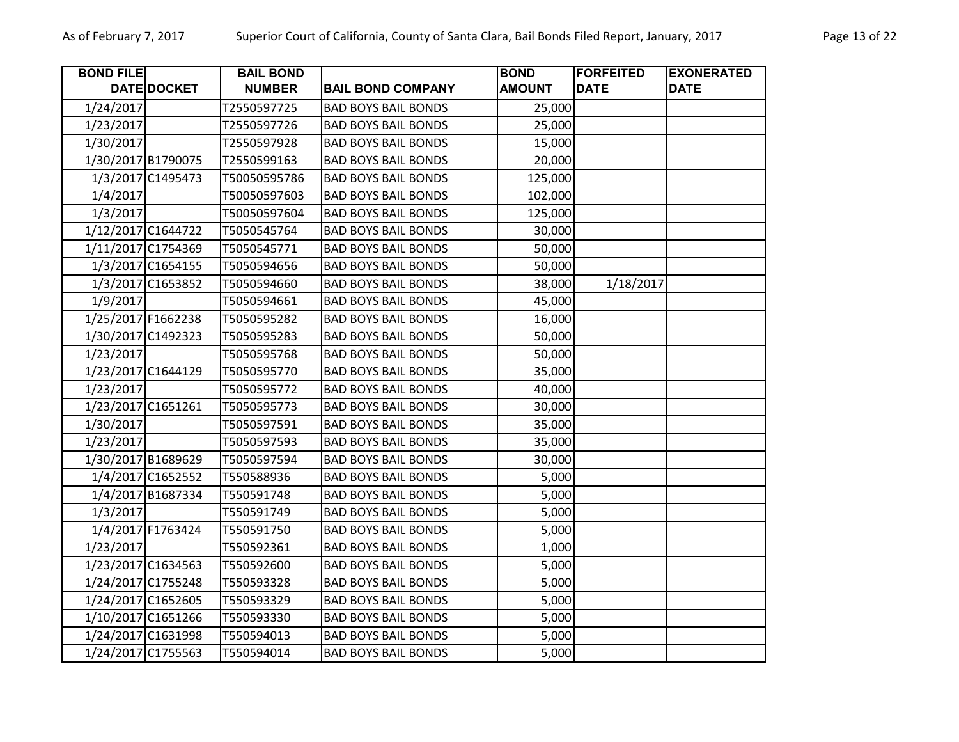| <b>BOND FILE</b> |                    | <b>BAIL BOND</b> |                            | <b>BOND</b>   | <b>FORFEITED</b> | <b>EXONERATED</b> |
|------------------|--------------------|------------------|----------------------------|---------------|------------------|-------------------|
|                  | DATE DOCKET        | <b>NUMBER</b>    | <b>BAIL BOND COMPANY</b>   | <b>AMOUNT</b> | <b>DATE</b>      | <b>DATE</b>       |
| 1/24/2017        |                    | T2550597725      | <b>BAD BOYS BAIL BONDS</b> | 25,000        |                  |                   |
| 1/23/2017        |                    | T2550597726      | <b>BAD BOYS BAIL BONDS</b> | 25,000        |                  |                   |
| 1/30/2017        |                    | T2550597928      | <b>BAD BOYS BAIL BONDS</b> | 15,000        |                  |                   |
|                  | 1/30/2017 B1790075 | T2550599163      | <b>BAD BOYS BAIL BONDS</b> | 20,000        |                  |                   |
|                  | 1/3/2017 C1495473  | T50050595786     | <b>BAD BOYS BAIL BONDS</b> | 125,000       |                  |                   |
| 1/4/2017         |                    | T50050597603     | <b>BAD BOYS BAIL BONDS</b> | 102,000       |                  |                   |
| 1/3/2017         |                    | T50050597604     | <b>BAD BOYS BAIL BONDS</b> | 125,000       |                  |                   |
|                  | 1/12/2017 C1644722 | T5050545764      | <b>BAD BOYS BAIL BONDS</b> | 30,000        |                  |                   |
|                  | 1/11/2017 C1754369 | T5050545771      | <b>BAD BOYS BAIL BONDS</b> | 50,000        |                  |                   |
|                  | 1/3/2017 C1654155  | T5050594656      | <b>BAD BOYS BAIL BONDS</b> | 50,000        |                  |                   |
|                  | 1/3/2017 C1653852  | T5050594660      | <b>BAD BOYS BAIL BONDS</b> | 38,000        | 1/18/2017        |                   |
| 1/9/2017         |                    | T5050594661      | <b>BAD BOYS BAIL BONDS</b> | 45,000        |                  |                   |
|                  | 1/25/2017 F1662238 | T5050595282      | <b>BAD BOYS BAIL BONDS</b> | 16,000        |                  |                   |
|                  | 1/30/2017 C1492323 | T5050595283      | <b>BAD BOYS BAIL BONDS</b> | 50,000        |                  |                   |
| 1/23/2017        |                    | T5050595768      | <b>BAD BOYS BAIL BONDS</b> | 50,000        |                  |                   |
|                  | 1/23/2017 C1644129 | T5050595770      | <b>BAD BOYS BAIL BONDS</b> | 35,000        |                  |                   |
| 1/23/2017        |                    | T5050595772      | <b>BAD BOYS BAIL BONDS</b> | 40,000        |                  |                   |
|                  | 1/23/2017 C1651261 | T5050595773      | <b>BAD BOYS BAIL BONDS</b> | 30,000        |                  |                   |
| 1/30/2017        |                    | T5050597591      | <b>BAD BOYS BAIL BONDS</b> | 35,000        |                  |                   |
| 1/23/2017        |                    | T5050597593      | <b>BAD BOYS BAIL BONDS</b> | 35,000        |                  |                   |
|                  | 1/30/2017 B1689629 | T5050597594      | <b>BAD BOYS BAIL BONDS</b> | 30,000        |                  |                   |
|                  | 1/4/2017 C1652552  | T550588936       | <b>BAD BOYS BAIL BONDS</b> | 5,000         |                  |                   |
|                  | 1/4/2017 B1687334  | T550591748       | <b>BAD BOYS BAIL BONDS</b> | 5,000         |                  |                   |
| 1/3/2017         |                    | T550591749       | <b>BAD BOYS BAIL BONDS</b> | 5,000         |                  |                   |
|                  | 1/4/2017 F1763424  | T550591750       | <b>BAD BOYS BAIL BONDS</b> | 5,000         |                  |                   |
| 1/23/2017        |                    | T550592361       | <b>BAD BOYS BAIL BONDS</b> | 1,000         |                  |                   |
|                  | 1/23/2017 C1634563 | T550592600       | <b>BAD BOYS BAIL BONDS</b> | 5,000         |                  |                   |
|                  | 1/24/2017 C1755248 | T550593328       | <b>BAD BOYS BAIL BONDS</b> | 5,000         |                  |                   |
|                  | 1/24/2017 C1652605 | T550593329       | <b>BAD BOYS BAIL BONDS</b> | 5,000         |                  |                   |
|                  | 1/10/2017 C1651266 | T550593330       | <b>BAD BOYS BAIL BONDS</b> | 5,000         |                  |                   |
|                  | 1/24/2017 C1631998 | T550594013       | <b>BAD BOYS BAIL BONDS</b> | 5,000         |                  |                   |
|                  | 1/24/2017 C1755563 | T550594014       | <b>BAD BOYS BAIL BONDS</b> | 5,000         |                  |                   |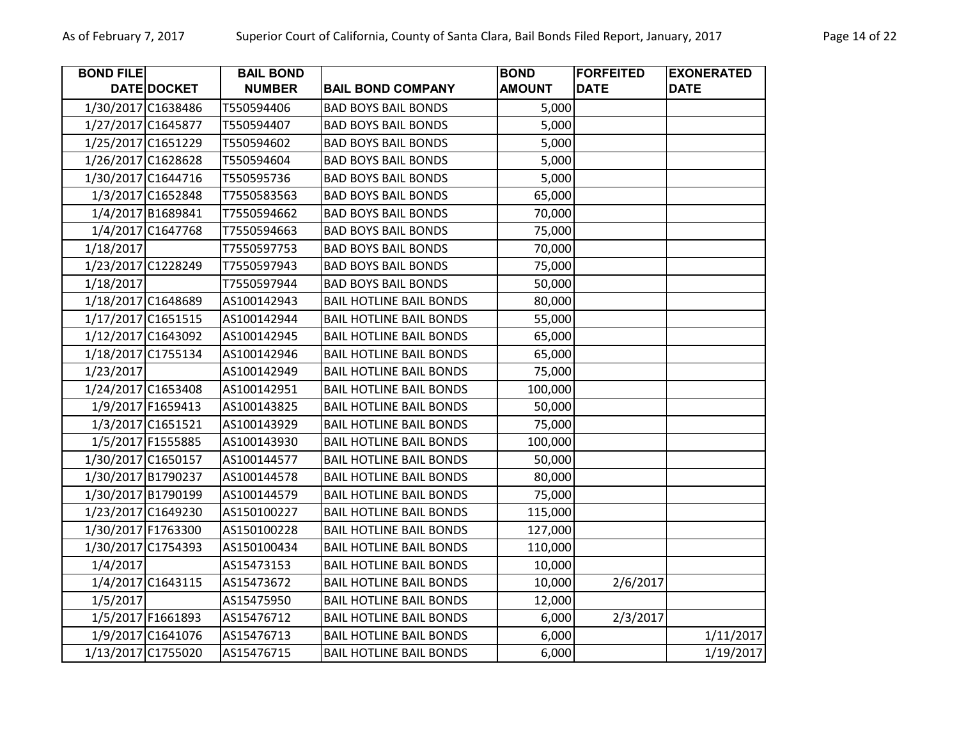| <b>BOND FILE</b> |                    | <b>BAIL BOND</b> |                                | <b>BOND</b>   | <b>FORFEITED</b> | <b>EXONERATED</b> |
|------------------|--------------------|------------------|--------------------------------|---------------|------------------|-------------------|
|                  | DATE DOCKET        | <b>NUMBER</b>    | <b>BAIL BOND COMPANY</b>       | <b>AMOUNT</b> | <b>DATE</b>      | <b>DATE</b>       |
|                  | 1/30/2017 C1638486 | T550594406       | <b>BAD BOYS BAIL BONDS</b>     | 5,000         |                  |                   |
|                  | 1/27/2017 C1645877 | T550594407       | <b>BAD BOYS BAIL BONDS</b>     | 5,000         |                  |                   |
|                  | 1/25/2017 C1651229 | T550594602       | <b>BAD BOYS BAIL BONDS</b>     | 5,000         |                  |                   |
|                  | 1/26/2017 C1628628 | T550594604       | <b>BAD BOYS BAIL BONDS</b>     | 5,000         |                  |                   |
|                  | 1/30/2017 C1644716 | T550595736       | <b>BAD BOYS BAIL BONDS</b>     | 5,000         |                  |                   |
|                  | 1/3/2017 C1652848  | T7550583563      | <b>BAD BOYS BAIL BONDS</b>     | 65,000        |                  |                   |
|                  | 1/4/2017 B1689841  | T7550594662      | <b>BAD BOYS BAIL BONDS</b>     | 70,000        |                  |                   |
|                  | 1/4/2017 C1647768  | T7550594663      | <b>BAD BOYS BAIL BONDS</b>     | 75,000        |                  |                   |
| 1/18/2017        |                    | T7550597753      | <b>BAD BOYS BAIL BONDS</b>     | 70,000        |                  |                   |
|                  | 1/23/2017 C1228249 | T7550597943      | <b>BAD BOYS BAIL BONDS</b>     | 75,000        |                  |                   |
| 1/18/2017        |                    | T7550597944      | <b>BAD BOYS BAIL BONDS</b>     | 50,000        |                  |                   |
|                  | 1/18/2017 C1648689 | AS100142943      | <b>BAIL HOTLINE BAIL BONDS</b> | 80,000        |                  |                   |
|                  | 1/17/2017 C1651515 | AS100142944      | <b>BAIL HOTLINE BAIL BONDS</b> | 55,000        |                  |                   |
|                  | 1/12/2017 C1643092 | AS100142945      | <b>BAIL HOTLINE BAIL BONDS</b> | 65,000        |                  |                   |
|                  | 1/18/2017 C1755134 | AS100142946      | <b>BAIL HOTLINE BAIL BONDS</b> | 65,000        |                  |                   |
| 1/23/2017        |                    | AS100142949      | <b>BAIL HOTLINE BAIL BONDS</b> | 75,000        |                  |                   |
|                  | 1/24/2017 C1653408 | AS100142951      | <b>BAIL HOTLINE BAIL BONDS</b> | 100,000       |                  |                   |
|                  | 1/9/2017 F1659413  | AS100143825      | <b>BAIL HOTLINE BAIL BONDS</b> | 50,000        |                  |                   |
|                  | 1/3/2017 C1651521  | AS100143929      | <b>BAIL HOTLINE BAIL BONDS</b> | 75,000        |                  |                   |
|                  | 1/5/2017 F1555885  | AS100143930      | <b>BAIL HOTLINE BAIL BONDS</b> | 100,000       |                  |                   |
|                  | 1/30/2017 C1650157 | AS100144577      | <b>BAIL HOTLINE BAIL BONDS</b> | 50,000        |                  |                   |
|                  | 1/30/2017 B1790237 | AS100144578      | <b>BAIL HOTLINE BAIL BONDS</b> | 80,000        |                  |                   |
|                  | 1/30/2017 B1790199 | AS100144579      | <b>BAIL HOTLINE BAIL BONDS</b> | 75,000        |                  |                   |
|                  | 1/23/2017 C1649230 | AS150100227      | <b>BAIL HOTLINE BAIL BONDS</b> | 115,000       |                  |                   |
|                  | 1/30/2017 F1763300 | AS150100228      | <b>BAIL HOTLINE BAIL BONDS</b> | 127,000       |                  |                   |
|                  | 1/30/2017 C1754393 | AS150100434      | <b>BAIL HOTLINE BAIL BONDS</b> | 110,000       |                  |                   |
| 1/4/2017         |                    | AS15473153       | <b>BAIL HOTLINE BAIL BONDS</b> | 10,000        |                  |                   |
|                  | 1/4/2017 C1643115  | AS15473672       | <b>BAIL HOTLINE BAIL BONDS</b> | 10,000        | 2/6/2017         |                   |
| 1/5/2017         |                    | AS15475950       | <b>BAIL HOTLINE BAIL BONDS</b> | 12,000        |                  |                   |
|                  | 1/5/2017 F1661893  | AS15476712       | <b>BAIL HOTLINE BAIL BONDS</b> | 6,000         | 2/3/2017         |                   |
|                  | 1/9/2017 C1641076  | AS15476713       | <b>BAIL HOTLINE BAIL BONDS</b> | 6,000         |                  | 1/11/2017         |
|                  | 1/13/2017 C1755020 | AS15476715       | <b>BAIL HOTLINE BAIL BONDS</b> | 6,000         |                  | 1/19/2017         |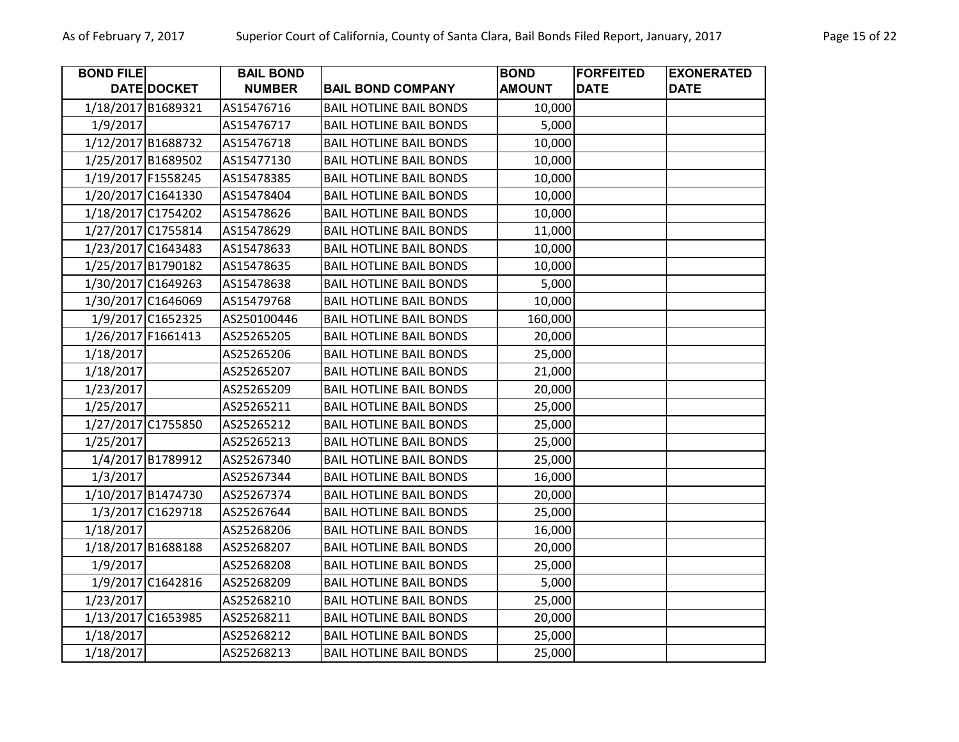| <b>BOND FILE</b> |                    | <b>BAIL BOND</b> |                                | <b>BOND</b>   | <b>FORFEITED</b> | <b>EXONERATED</b> |
|------------------|--------------------|------------------|--------------------------------|---------------|------------------|-------------------|
|                  | DATE DOCKET        | <b>NUMBER</b>    | <b>BAIL BOND COMPANY</b>       | <b>AMOUNT</b> | <b>DATE</b>      | <b>DATE</b>       |
|                  | 1/18/2017 B1689321 | AS15476716       | <b>BAIL HOTLINE BAIL BONDS</b> | 10,000        |                  |                   |
| 1/9/2017         |                    | AS15476717       | <b>BAIL HOTLINE BAIL BONDS</b> | 5,000         |                  |                   |
|                  | 1/12/2017 B1688732 | AS15476718       | <b>BAIL HOTLINE BAIL BONDS</b> | 10,000        |                  |                   |
|                  | 1/25/2017 B1689502 | AS15477130       | <b>BAIL HOTLINE BAIL BONDS</b> | 10,000        |                  |                   |
|                  | 1/19/2017 F1558245 | AS15478385       | <b>BAIL HOTLINE BAIL BONDS</b> | 10,000        |                  |                   |
|                  | 1/20/2017 C1641330 | AS15478404       | <b>BAIL HOTLINE BAIL BONDS</b> | 10,000        |                  |                   |
|                  | 1/18/2017 C1754202 | AS15478626       | <b>BAIL HOTLINE BAIL BONDS</b> | 10,000        |                  |                   |
|                  | 1/27/2017 C1755814 | AS15478629       | <b>BAIL HOTLINE BAIL BONDS</b> | 11,000        |                  |                   |
|                  | 1/23/2017 C1643483 | AS15478633       | <b>BAIL HOTLINE BAIL BONDS</b> | 10,000        |                  |                   |
|                  | 1/25/2017 B1790182 | AS15478635       | <b>BAIL HOTLINE BAIL BONDS</b> | 10,000        |                  |                   |
|                  | 1/30/2017 C1649263 | AS15478638       | <b>BAIL HOTLINE BAIL BONDS</b> | 5,000         |                  |                   |
|                  | 1/30/2017 C1646069 | AS15479768       | <b>BAIL HOTLINE BAIL BONDS</b> | 10,000        |                  |                   |
|                  | 1/9/2017 C1652325  | AS250100446      | <b>BAIL HOTLINE BAIL BONDS</b> | 160,000       |                  |                   |
|                  | 1/26/2017 F1661413 | AS25265205       | <b>BAIL HOTLINE BAIL BONDS</b> | 20,000        |                  |                   |
| 1/18/2017        |                    | AS25265206       | <b>BAIL HOTLINE BAIL BONDS</b> | 25,000        |                  |                   |
| 1/18/2017        |                    | AS25265207       | <b>BAIL HOTLINE BAIL BONDS</b> | 21,000        |                  |                   |
| 1/23/2017        |                    | AS25265209       | <b>BAIL HOTLINE BAIL BONDS</b> | 20,000        |                  |                   |
| 1/25/2017        |                    | AS25265211       | <b>BAIL HOTLINE BAIL BONDS</b> | 25,000        |                  |                   |
|                  | 1/27/2017 C1755850 | AS25265212       | <b>BAIL HOTLINE BAIL BONDS</b> | 25,000        |                  |                   |
| 1/25/2017        |                    | AS25265213       | <b>BAIL HOTLINE BAIL BONDS</b> | 25,000        |                  |                   |
|                  | 1/4/2017 B1789912  | AS25267340       | <b>BAIL HOTLINE BAIL BONDS</b> | 25,000        |                  |                   |
| 1/3/2017         |                    | AS25267344       | <b>BAIL HOTLINE BAIL BONDS</b> | 16,000        |                  |                   |
|                  | 1/10/2017 B1474730 | AS25267374       | <b>BAIL HOTLINE BAIL BONDS</b> | 20,000        |                  |                   |
|                  | 1/3/2017 C1629718  | AS25267644       | <b>BAIL HOTLINE BAIL BONDS</b> | 25,000        |                  |                   |
| 1/18/2017        |                    | AS25268206       | <b>BAIL HOTLINE BAIL BONDS</b> | 16,000        |                  |                   |
|                  | 1/18/2017 B1688188 | AS25268207       | <b>BAIL HOTLINE BAIL BONDS</b> | 20,000        |                  |                   |
| 1/9/2017         |                    | AS25268208       | <b>BAIL HOTLINE BAIL BONDS</b> | 25,000        |                  |                   |
|                  | 1/9/2017 C1642816  | AS25268209       | <b>BAIL HOTLINE BAIL BONDS</b> | 5,000         |                  |                   |
| 1/23/2017        |                    | AS25268210       | <b>BAIL HOTLINE BAIL BONDS</b> | 25,000        |                  |                   |
|                  | 1/13/2017 C1653985 | AS25268211       | <b>BAIL HOTLINE BAIL BONDS</b> | 20,000        |                  |                   |
| 1/18/2017        |                    | AS25268212       | <b>BAIL HOTLINE BAIL BONDS</b> | 25,000        |                  |                   |
| 1/18/2017        |                    | AS25268213       | <b>BAIL HOTLINE BAIL BONDS</b> | 25,000        |                  |                   |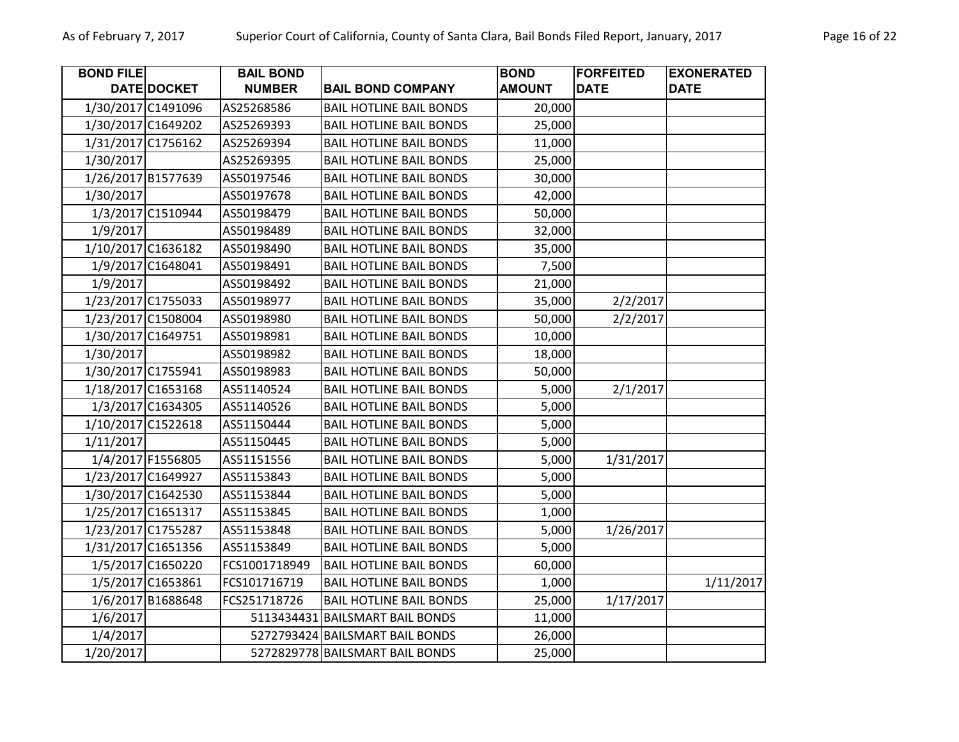| <b>BOND FILE</b> |                    | <b>BAIL BOND</b> |                                 | <b>BOND</b>   | <b>FORFEITED</b> | <b>EXONERATED</b> |
|------------------|--------------------|------------------|---------------------------------|---------------|------------------|-------------------|
|                  | DATE DOCKET        | <b>NUMBER</b>    | <b>BAIL BOND COMPANY</b>        | <b>AMOUNT</b> | <b>DATE</b>      | <b>DATE</b>       |
|                  | 1/30/2017 C1491096 | AS25268586       | <b>BAIL HOTLINE BAIL BONDS</b>  | 20,000        |                  |                   |
|                  | 1/30/2017 C1649202 | AS25269393       | <b>BAIL HOTLINE BAIL BONDS</b>  | 25,000        |                  |                   |
|                  | 1/31/2017 C1756162 | AS25269394       | <b>BAIL HOTLINE BAIL BONDS</b>  | 11,000        |                  |                   |
| 1/30/2017        |                    | AS25269395       | <b>BAIL HOTLINE BAIL BONDS</b>  | 25,000        |                  |                   |
|                  | 1/26/2017 B1577639 | AS50197546       | <b>BAIL HOTLINE BAIL BONDS</b>  | 30,000        |                  |                   |
| 1/30/2017        |                    | AS50197678       | <b>BAIL HOTLINE BAIL BONDS</b>  | 42,000        |                  |                   |
|                  | 1/3/2017 C1510944  | AS50198479       | <b>BAIL HOTLINE BAIL BONDS</b>  | 50,000        |                  |                   |
| 1/9/2017         |                    | AS50198489       | <b>BAIL HOTLINE BAIL BONDS</b>  | 32,000        |                  |                   |
|                  | 1/10/2017 C1636182 | AS50198490       | <b>BAIL HOTLINE BAIL BONDS</b>  | 35,000        |                  |                   |
|                  | 1/9/2017 C1648041  | AS50198491       | <b>BAIL HOTLINE BAIL BONDS</b>  | 7,500         |                  |                   |
| 1/9/2017         |                    | AS50198492       | <b>BAIL HOTLINE BAIL BONDS</b>  | 21,000        |                  |                   |
|                  | 1/23/2017 C1755033 | AS50198977       | <b>BAIL HOTLINE BAIL BONDS</b>  | 35,000        | 2/2/2017         |                   |
|                  | 1/23/2017 C1508004 | AS50198980       | <b>BAIL HOTLINE BAIL BONDS</b>  | 50,000        | 2/2/2017         |                   |
|                  | 1/30/2017 C1649751 | AS50198981       | <b>BAIL HOTLINE BAIL BONDS</b>  | 10,000        |                  |                   |
| 1/30/2017        |                    | AS50198982       | <b>BAIL HOTLINE BAIL BONDS</b>  | 18,000        |                  |                   |
|                  | 1/30/2017 C1755941 | AS50198983       | <b>BAIL HOTLINE BAIL BONDS</b>  | 50,000        |                  |                   |
|                  | 1/18/2017 C1653168 | AS51140524       | <b>BAIL HOTLINE BAIL BONDS</b>  | 5,000         | 2/1/2017         |                   |
|                  | 1/3/2017 C1634305  | AS51140526       | <b>BAIL HOTLINE BAIL BONDS</b>  | 5,000         |                  |                   |
|                  | 1/10/2017 C1522618 | AS51150444       | <b>BAIL HOTLINE BAIL BONDS</b>  | 5,000         |                  |                   |
| 1/11/2017        |                    | AS51150445       | <b>BAIL HOTLINE BAIL BONDS</b>  | 5,000         |                  |                   |
|                  | 1/4/2017 F1556805  | AS51151556       | <b>BAIL HOTLINE BAIL BONDS</b>  | 5,000         | 1/31/2017        |                   |
|                  | 1/23/2017 C1649927 | AS51153843       | <b>BAIL HOTLINE BAIL BONDS</b>  | 5,000         |                  |                   |
|                  | 1/30/2017 C1642530 | AS51153844       | <b>BAIL HOTLINE BAIL BONDS</b>  | 5,000         |                  |                   |
|                  | 1/25/2017 C1651317 | AS51153845       | <b>BAIL HOTLINE BAIL BONDS</b>  | 1,000         |                  |                   |
|                  | 1/23/2017 C1755287 | AS51153848       | <b>BAIL HOTLINE BAIL BONDS</b>  | 5,000         | 1/26/2017        |                   |
|                  | 1/31/2017 C1651356 | AS51153849       | <b>BAIL HOTLINE BAIL BONDS</b>  | 5,000         |                  |                   |
|                  | 1/5/2017 C1650220  | FCS1001718949    | <b>BAIL HOTLINE BAIL BONDS</b>  | 60,000        |                  |                   |
|                  | 1/5/2017 C1653861  | FCS101716719     | <b>BAIL HOTLINE BAIL BONDS</b>  | 1,000         |                  | 1/11/2017         |
|                  | 1/6/2017 B1688648  | FCS251718726     | <b>BAIL HOTLINE BAIL BONDS</b>  | 25,000        | 1/17/2017        |                   |
| 1/6/2017         |                    |                  | 5113434431 BAILSMART BAIL BONDS | 11,000        |                  |                   |
| 1/4/2017         |                    |                  | 5272793424 BAILSMART BAIL BONDS | 26,000        |                  |                   |
| 1/20/2017        |                    |                  | 5272829778 BAILSMART BAIL BONDS | 25,000        |                  |                   |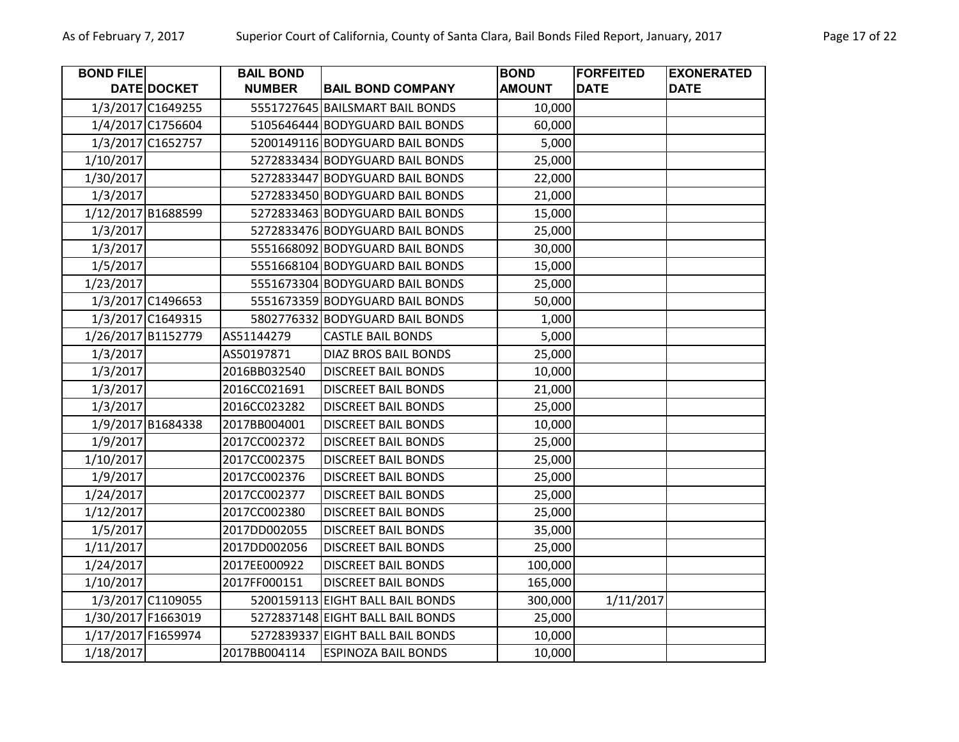| <b>BOND FILE</b> |                    | <b>BAIL BOND</b> |                                  | <b>BOND</b>   | <b>FORFEITED</b> | <b>EXONERATED</b> |
|------------------|--------------------|------------------|----------------------------------|---------------|------------------|-------------------|
|                  | <b>DATE DOCKET</b> | <b>NUMBER</b>    | <b>BAIL BOND COMPANY</b>         | <b>AMOUNT</b> | <b>DATE</b>      | <b>DATE</b>       |
|                  | 1/3/2017 C1649255  |                  | 5551727645 BAILSMART BAIL BONDS  | 10,000        |                  |                   |
|                  | 1/4/2017 C1756604  |                  | 5105646444 BODYGUARD BAIL BONDS  | 60,000        |                  |                   |
|                  | 1/3/2017 C1652757  |                  | 5200149116 BODYGUARD BAIL BONDS  | 5,000         |                  |                   |
| 1/10/2017        |                    |                  | 5272833434 BODYGUARD BAIL BONDS  | 25,000        |                  |                   |
| 1/30/2017        |                    |                  | 5272833447 BODYGUARD BAIL BONDS  | 22,000        |                  |                   |
| 1/3/2017         |                    |                  | 5272833450 BODYGUARD BAIL BONDS  | 21,000        |                  |                   |
|                  | 1/12/2017 B1688599 |                  | 5272833463 BODYGUARD BAIL BONDS  | 15,000        |                  |                   |
| 1/3/2017         |                    |                  | 5272833476 BODYGUARD BAIL BONDS  | 25,000        |                  |                   |
| 1/3/2017         |                    |                  | 5551668092 BODYGUARD BAIL BONDS  | 30,000        |                  |                   |
| 1/5/2017         |                    |                  | 5551668104 BODYGUARD BAIL BONDS  | 15,000        |                  |                   |
| 1/23/2017        |                    |                  | 5551673304 BODYGUARD BAIL BONDS  | 25,000        |                  |                   |
|                  | 1/3/2017 C1496653  |                  | 5551673359 BODYGUARD BAIL BONDS  | 50,000        |                  |                   |
|                  | 1/3/2017 C1649315  |                  | 5802776332 BODYGUARD BAIL BONDS  | 1,000         |                  |                   |
|                  | 1/26/2017 B1152779 | AS51144279       | <b>CASTLE BAIL BONDS</b>         | 5,000         |                  |                   |
| 1/3/2017         |                    | AS50197871       | DIAZ BROS BAIL BONDS             | 25,000        |                  |                   |
| 1/3/2017         |                    | 2016BB032540     | <b>DISCREET BAIL BONDS</b>       | 10,000        |                  |                   |
| 1/3/2017         |                    | 2016CC021691     | <b>DISCREET BAIL BONDS</b>       | 21,000        |                  |                   |
| 1/3/2017         |                    | 2016CC023282     | <b>DISCREET BAIL BONDS</b>       | 25,000        |                  |                   |
|                  | 1/9/2017 B1684338  | 2017BB004001     | <b>DISCREET BAIL BONDS</b>       | 10,000        |                  |                   |
| 1/9/2017         |                    | 2017CC002372     | <b>DISCREET BAIL BONDS</b>       | 25,000        |                  |                   |
| 1/10/2017        |                    | 2017CC002375     | <b>DISCREET BAIL BONDS</b>       | 25,000        |                  |                   |
| 1/9/2017         |                    | 2017CC002376     | <b>DISCREET BAIL BONDS</b>       | 25,000        |                  |                   |
| 1/24/2017        |                    | 2017CC002377     | <b>DISCREET BAIL BONDS</b>       | 25,000        |                  |                   |
| 1/12/2017        |                    | 2017CC002380     | <b>DISCREET BAIL BONDS</b>       | 25,000        |                  |                   |
| 1/5/2017         |                    | 2017DD002055     | <b>DISCREET BAIL BONDS</b>       | 35,000        |                  |                   |
| 1/11/2017        |                    | 2017DD002056     | <b>DISCREET BAIL BONDS</b>       | 25,000        |                  |                   |
| 1/24/2017        |                    | 2017EE000922     | <b>DISCREET BAIL BONDS</b>       | 100,000       |                  |                   |
| 1/10/2017        |                    | 2017FF000151     | <b>DISCREET BAIL BONDS</b>       | 165,000       |                  |                   |
|                  | 1/3/2017 C1109055  |                  | 5200159113 EIGHT BALL BAIL BONDS | 300,000       | 1/11/2017        |                   |
|                  | 1/30/2017 F1663019 |                  | 5272837148 EIGHT BALL BAIL BONDS | 25,000        |                  |                   |
|                  | 1/17/2017 F1659974 |                  | 5272839337 EIGHT BALL BAIL BONDS | 10,000        |                  |                   |
| 1/18/2017        |                    | 2017BB004114     | <b>ESPINOZA BAIL BONDS</b>       | 10,000        |                  |                   |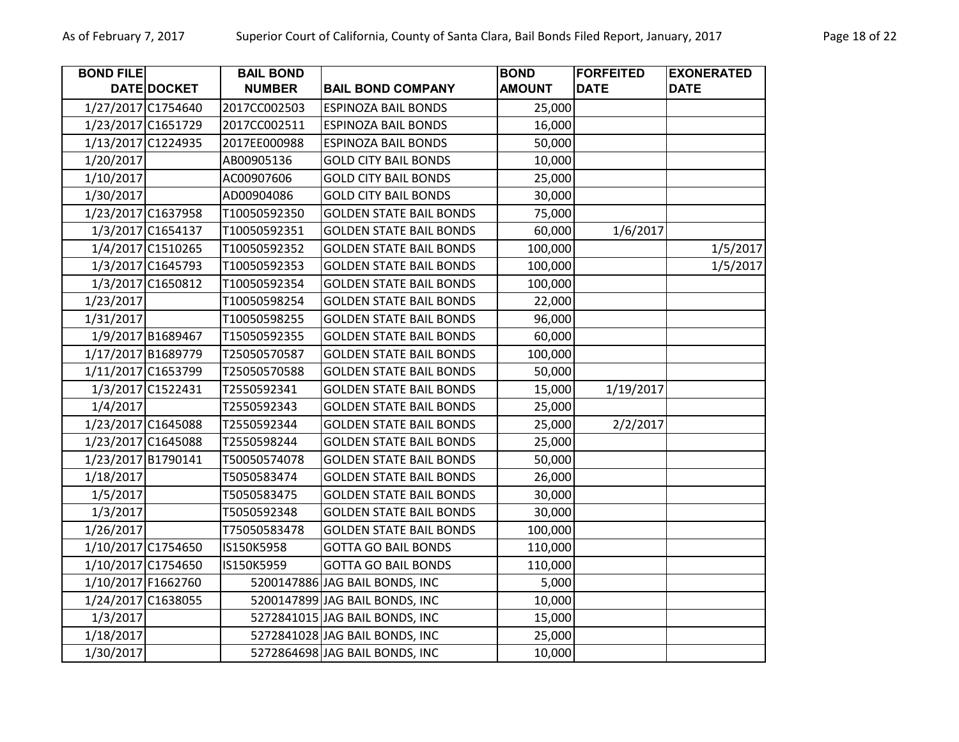| <b>BOND FILE</b> |                    | <b>BAIL BOND</b> |                                | <b>BOND</b>   | <b>FORFEITED</b> | <b>EXONERATED</b> |
|------------------|--------------------|------------------|--------------------------------|---------------|------------------|-------------------|
|                  | <b>DATE DOCKET</b> | <b>NUMBER</b>    | <b>BAIL BOND COMPANY</b>       | <b>AMOUNT</b> | <b>DATE</b>      | <b>DATE</b>       |
|                  | 1/27/2017 C1754640 | 2017CC002503     | <b>ESPINOZA BAIL BONDS</b>     | 25,000        |                  |                   |
|                  | 1/23/2017 C1651729 | 2017CC002511     | <b>ESPINOZA BAIL BONDS</b>     | 16,000        |                  |                   |
|                  | 1/13/2017 C1224935 | 2017EE000988     | <b>ESPINOZA BAIL BONDS</b>     | 50,000        |                  |                   |
| 1/20/2017        |                    | AB00905136       | <b>GOLD CITY BAIL BONDS</b>    | 10,000        |                  |                   |
| 1/10/2017        |                    | AC00907606       | <b>GOLD CITY BAIL BONDS</b>    | 25,000        |                  |                   |
| 1/30/2017        |                    | AD00904086       | <b>GOLD CITY BAIL BONDS</b>    | 30,000        |                  |                   |
|                  | 1/23/2017 C1637958 | T10050592350     | <b>GOLDEN STATE BAIL BONDS</b> | 75,000        |                  |                   |
|                  | 1/3/2017 C1654137  | T10050592351     | <b>GOLDEN STATE BAIL BONDS</b> | 60,000        | 1/6/2017         |                   |
|                  | 1/4/2017 C1510265  | T10050592352     | <b>GOLDEN STATE BAIL BONDS</b> | 100,000       |                  | 1/5/2017          |
|                  | 1/3/2017 C1645793  | T10050592353     | <b>GOLDEN STATE BAIL BONDS</b> | 100,000       |                  | 1/5/2017          |
|                  | 1/3/2017 C1650812  | T10050592354     | <b>GOLDEN STATE BAIL BONDS</b> | 100,000       |                  |                   |
| 1/23/2017        |                    | T10050598254     | <b>GOLDEN STATE BAIL BONDS</b> | 22,000        |                  |                   |
| 1/31/2017        |                    | T10050598255     | <b>GOLDEN STATE BAIL BONDS</b> | 96,000        |                  |                   |
|                  | 1/9/2017 B1689467  | T15050592355     | <b>GOLDEN STATE BAIL BONDS</b> | 60,000        |                  |                   |
|                  | 1/17/2017 B1689779 | T25050570587     | <b>GOLDEN STATE BAIL BONDS</b> | 100,000       |                  |                   |
|                  | 1/11/2017 C1653799 | T25050570588     | <b>GOLDEN STATE BAIL BONDS</b> | 50,000        |                  |                   |
|                  | 1/3/2017 C1522431  | T2550592341      | <b>GOLDEN STATE BAIL BONDS</b> | 15,000        | 1/19/2017        |                   |
| 1/4/2017         |                    | T2550592343      | <b>GOLDEN STATE BAIL BONDS</b> | 25,000        |                  |                   |
|                  | 1/23/2017 C1645088 | T2550592344      | <b>GOLDEN STATE BAIL BONDS</b> | 25,000        | 2/2/2017         |                   |
|                  | 1/23/2017 C1645088 | T2550598244      | <b>GOLDEN STATE BAIL BONDS</b> | 25,000        |                  |                   |
|                  | 1/23/2017 B1790141 | T50050574078     | <b>GOLDEN STATE BAIL BONDS</b> | 50,000        |                  |                   |
| 1/18/2017        |                    | T5050583474      | <b>GOLDEN STATE BAIL BONDS</b> | 26,000        |                  |                   |
| 1/5/2017         |                    | T5050583475      | <b>GOLDEN STATE BAIL BONDS</b> | 30,000        |                  |                   |
| 1/3/2017         |                    | T5050592348      | <b>GOLDEN STATE BAIL BONDS</b> | 30,000        |                  |                   |
| 1/26/2017        |                    | T75050583478     | <b>GOLDEN STATE BAIL BONDS</b> | 100,000       |                  |                   |
|                  | 1/10/2017 C1754650 | IS150K5958       | <b>GOTTA GO BAIL BONDS</b>     | 110,000       |                  |                   |
|                  | 1/10/2017 C1754650 | IS150K5959       | <b>GOTTA GO BAIL BONDS</b>     | 110,000       |                  |                   |
|                  | 1/10/2017 F1662760 |                  | 5200147886 JAG BAIL BONDS, INC | 5,000         |                  |                   |
|                  | 1/24/2017 C1638055 |                  | 5200147899 JAG BAIL BONDS, INC | 10,000        |                  |                   |
| 1/3/2017         |                    |                  | 5272841015 JAG BAIL BONDS, INC | 15,000        |                  |                   |
| 1/18/2017        |                    |                  | 5272841028 JAG BAIL BONDS, INC | 25,000        |                  |                   |
| 1/30/2017        |                    |                  | 5272864698 JAG BAIL BONDS, INC | 10,000        |                  |                   |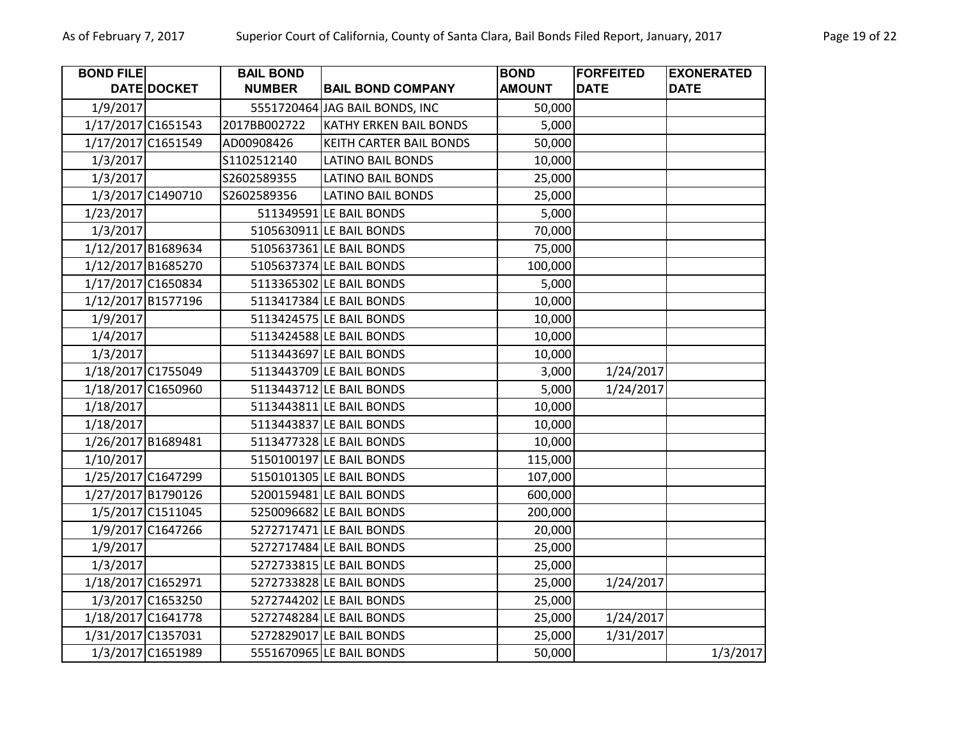| <b>BOND FILE</b> |                    | <b>BAIL BOND</b> |                                | <b>BOND</b>   | <b>FORFEITED</b> | <b>EXONERATED</b> |
|------------------|--------------------|------------------|--------------------------------|---------------|------------------|-------------------|
|                  | DATE DOCKET        | <b>NUMBER</b>    | <b>BAIL BOND COMPANY</b>       | <b>AMOUNT</b> | <b>DATE</b>      | <b>DATE</b>       |
| 1/9/2017         |                    |                  | 5551720464 JAG BAIL BONDS, INC | 50,000        |                  |                   |
|                  | 1/17/2017 C1651543 | 2017BB002722     | KATHY ERKEN BAIL BONDS         | 5,000         |                  |                   |
|                  | 1/17/2017 C1651549 | AD00908426       | KEITH CARTER BAIL BONDS        | 50,000        |                  |                   |
| 1/3/2017         |                    | S1102512140      | <b>LATINO BAIL BONDS</b>       | 10,000        |                  |                   |
| 1/3/2017         |                    | S2602589355      | <b>LATINO BAIL BONDS</b>       | 25,000        |                  |                   |
|                  | 1/3/2017 C1490710  | S2602589356      | <b>LATINO BAIL BONDS</b>       | 25,000        |                  |                   |
| 1/23/2017        |                    |                  | 511349591 LE BAIL BONDS        | 5,000         |                  |                   |
| 1/3/2017         |                    |                  | 5105630911 LE BAIL BONDS       | 70,000        |                  |                   |
|                  | 1/12/2017 B1689634 |                  | 5105637361 LE BAIL BONDS       | 75,000        |                  |                   |
|                  | 1/12/2017 B1685270 |                  | 5105637374 LE BAIL BONDS       | 100,000       |                  |                   |
|                  | 1/17/2017 C1650834 |                  | 5113365302 LE BAIL BONDS       | 5,000         |                  |                   |
|                  | 1/12/2017 B1577196 |                  | 5113417384 LE BAIL BONDS       | 10,000        |                  |                   |
| 1/9/2017         |                    |                  | 5113424575 LE BAIL BONDS       | 10,000        |                  |                   |
| 1/4/2017         |                    |                  | 5113424588 LE BAIL BONDS       | 10,000        |                  |                   |
| 1/3/2017         |                    |                  | 5113443697 LE BAIL BONDS       | 10,000        |                  |                   |
|                  | 1/18/2017 C1755049 |                  | 5113443709 LE BAIL BONDS       | 3,000         | 1/24/2017        |                   |
|                  | 1/18/2017 C1650960 |                  | 5113443712 LE BAIL BONDS       | 5,000         | 1/24/2017        |                   |
| 1/18/2017        |                    |                  | 5113443811 LE BAIL BONDS       | 10,000        |                  |                   |
| 1/18/2017        |                    |                  | 5113443837 LE BAIL BONDS       | 10,000        |                  |                   |
|                  | 1/26/2017 B1689481 |                  | 5113477328 LE BAIL BONDS       | 10,000        |                  |                   |
| 1/10/2017        |                    |                  | 5150100197 LE BAIL BONDS       | 115,000       |                  |                   |
|                  | 1/25/2017 C1647299 |                  | 5150101305 LE BAIL BONDS       | 107,000       |                  |                   |
|                  | 1/27/2017 B1790126 |                  | 5200159481 LE BAIL BONDS       | 600,000       |                  |                   |
|                  | 1/5/2017 C1511045  |                  | 5250096682 LE BAIL BONDS       | 200,000       |                  |                   |
|                  | 1/9/2017 C1647266  |                  | 5272717471 LE BAIL BONDS       | 20,000        |                  |                   |
| 1/9/2017         |                    |                  | 5272717484 LE BAIL BONDS       | 25,000        |                  |                   |
| 1/3/2017         |                    |                  | 5272733815 LE BAIL BONDS       | 25,000        |                  |                   |
|                  | 1/18/2017 C1652971 |                  | 5272733828 LE BAIL BONDS       | 25,000        | 1/24/2017        |                   |
|                  | 1/3/2017 C1653250  |                  | 5272744202 LE BAIL BONDS       | 25,000        |                  |                   |
|                  | 1/18/2017 C1641778 |                  | 5272748284 LE BAIL BONDS       | 25,000        | 1/24/2017        |                   |
|                  | 1/31/2017 C1357031 |                  | 5272829017 LE BAIL BONDS       | 25,000        | 1/31/2017        |                   |
|                  | 1/3/2017 C1651989  |                  | 5551670965 LE BAIL BONDS       | 50,000        |                  | 1/3/2017          |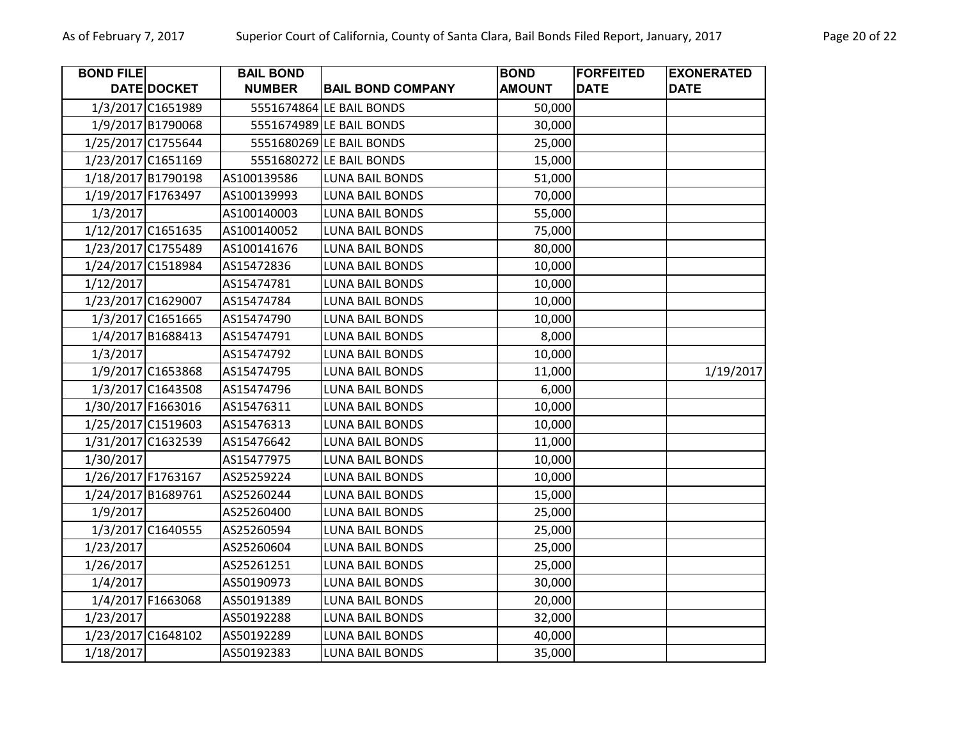| <b>BOND FILE</b>   |                    | <b>BAIL BOND</b> |                          | <b>BOND</b>   | <b>FORFEITED</b> | <b>EXONERATED</b> |
|--------------------|--------------------|------------------|--------------------------|---------------|------------------|-------------------|
|                    | DATE DOCKET        | <b>NUMBER</b>    | <b>BAIL BOND COMPANY</b> | <b>AMOUNT</b> | <b>DATE</b>      | <b>DATE</b>       |
|                    | 1/3/2017 C1651989  |                  | 5551674864 LE BAIL BONDS | 50,000        |                  |                   |
|                    | 1/9/2017 B1790068  |                  | 5551674989 LE BAIL BONDS | 30,000        |                  |                   |
|                    | 1/25/2017 C1755644 |                  | 5551680269 LE BAIL BONDS | 25,000        |                  |                   |
|                    | 1/23/2017 C1651169 |                  | 5551680272 LE BAIL BONDS | 15,000        |                  |                   |
|                    | 1/18/2017 B1790198 | AS100139586      | <b>LUNA BAIL BONDS</b>   | 51,000        |                  |                   |
|                    | 1/19/2017 F1763497 | AS100139993      | <b>LUNA BAIL BONDS</b>   | 70,000        |                  |                   |
| 1/3/2017           |                    | AS100140003      | <b>LUNA BAIL BONDS</b>   | 55,000        |                  |                   |
|                    | 1/12/2017 C1651635 | AS100140052      | <b>LUNA BAIL BONDS</b>   | 75,000        |                  |                   |
|                    | 1/23/2017 C1755489 | AS100141676      | <b>LUNA BAIL BONDS</b>   | 80,000        |                  |                   |
|                    | 1/24/2017 C1518984 | AS15472836       | <b>LUNA BAIL BONDS</b>   | 10,000        |                  |                   |
| 1/12/2017          |                    | AS15474781       | <b>LUNA BAIL BONDS</b>   | 10,000        |                  |                   |
|                    | 1/23/2017 C1629007 | AS15474784       | <b>LUNA BAIL BONDS</b>   | 10,000        |                  |                   |
|                    | 1/3/2017 C1651665  | AS15474790       | <b>LUNA BAIL BONDS</b>   | 10,000        |                  |                   |
|                    | 1/4/2017 B1688413  | AS15474791       | <b>LUNA BAIL BONDS</b>   | 8,000         |                  |                   |
| 1/3/2017           |                    | AS15474792       | LUNA BAIL BONDS          | 10,000        |                  |                   |
|                    | 1/9/2017 C1653868  | AS15474795       | <b>LUNA BAIL BONDS</b>   | 11,000        |                  | 1/19/2017         |
|                    | 1/3/2017 C1643508  | AS15474796       | <b>LUNA BAIL BONDS</b>   | 6,000         |                  |                   |
|                    | 1/30/2017 F1663016 | AS15476311       | LUNA BAIL BONDS          | 10,000        |                  |                   |
|                    | 1/25/2017 C1519603 | AS15476313       | <b>LUNA BAIL BONDS</b>   | 10,000        |                  |                   |
|                    | 1/31/2017 C1632539 | AS15476642       | <b>LUNA BAIL BONDS</b>   | 11,000        |                  |                   |
| 1/30/2017          |                    | AS15477975       | <b>LUNA BAIL BONDS</b>   | 10,000        |                  |                   |
| 1/26/2017 F1763167 |                    | AS25259224       | <b>LUNA BAIL BONDS</b>   | 10,000        |                  |                   |
|                    | 1/24/2017 B1689761 | AS25260244       | <b>LUNA BAIL BONDS</b>   | 15,000        |                  |                   |
| 1/9/2017           |                    | AS25260400       | LUNA BAIL BONDS          | 25,000        |                  |                   |
|                    | 1/3/2017 C1640555  | AS25260594       | LUNA BAIL BONDS          | 25,000        |                  |                   |
| 1/23/2017          |                    | AS25260604       | <b>LUNA BAIL BONDS</b>   | 25,000        |                  |                   |
| 1/26/2017          |                    | AS25261251       | LUNA BAIL BONDS          | 25,000        |                  |                   |
| 1/4/2017           |                    | AS50190973       | <b>LUNA BAIL BONDS</b>   | 30,000        |                  |                   |
|                    | 1/4/2017 F1663068  | AS50191389       | <b>LUNA BAIL BONDS</b>   | 20,000        |                  |                   |
| 1/23/2017          |                    | AS50192288       | <b>LUNA BAIL BONDS</b>   | 32,000        |                  |                   |
|                    | 1/23/2017 C1648102 | AS50192289       | LUNA BAIL BONDS          | 40,000        |                  |                   |
| 1/18/2017          |                    | AS50192383       | <b>LUNA BAIL BONDS</b>   | 35,000        |                  |                   |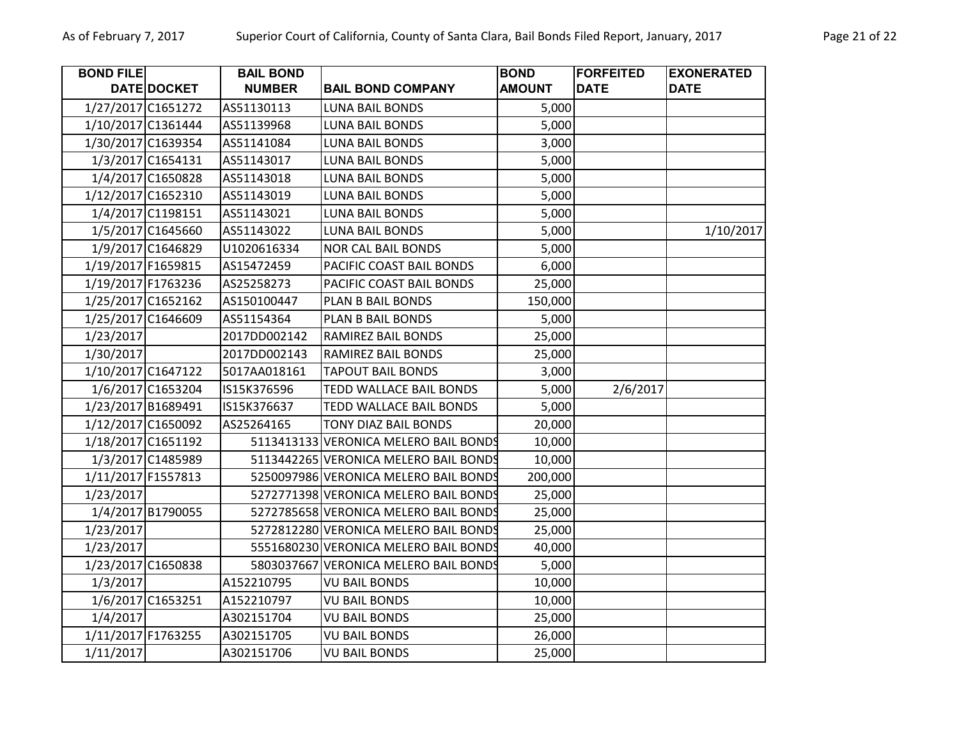| <b>BOND FILE</b> |                    | <b>BAIL BOND</b> |                                       | <b>BOND</b>   | <b>FORFEITED</b> | <b>EXONERATED</b> |
|------------------|--------------------|------------------|---------------------------------------|---------------|------------------|-------------------|
|                  | <b>DATE DOCKET</b> | <b>NUMBER</b>    | <b>BAIL BOND COMPANY</b>              | <b>AMOUNT</b> | <b>DATE</b>      | <b>DATE</b>       |
|                  | 1/27/2017 C1651272 | AS51130113       | <b>LUNA BAIL BONDS</b>                | 5,000         |                  |                   |
|                  | 1/10/2017 C1361444 | AS51139968       | <b>LUNA BAIL BONDS</b>                | 5,000         |                  |                   |
|                  | 1/30/2017 C1639354 | AS51141084       | <b>LUNA BAIL BONDS</b>                | 3,000         |                  |                   |
|                  | 1/3/2017 C1654131  | AS51143017       | <b>LUNA BAIL BONDS</b>                | 5,000         |                  |                   |
|                  | 1/4/2017 C1650828  | AS51143018       | LUNA BAIL BONDS                       | 5,000         |                  |                   |
|                  | 1/12/2017 C1652310 | AS51143019       | <b>LUNA BAIL BONDS</b>                | 5,000         |                  |                   |
|                  | 1/4/2017 C1198151  | AS51143021       | <b>LUNA BAIL BONDS</b>                | 5,000         |                  |                   |
|                  | 1/5/2017 C1645660  | AS51143022       | <b>LUNA BAIL BONDS</b>                | 5,000         |                  | 1/10/2017         |
|                  | 1/9/2017 C1646829  | U1020616334      | <b>NOR CAL BAIL BONDS</b>             | 5,000         |                  |                   |
|                  | 1/19/2017 F1659815 | AS15472459       | PACIFIC COAST BAIL BONDS              | 6,000         |                  |                   |
|                  | 1/19/2017 F1763236 | AS25258273       | PACIFIC COAST BAIL BONDS              | 25,000        |                  |                   |
|                  | 1/25/2017 C1652162 | AS150100447      | PLAN B BAIL BONDS                     | 150,000       |                  |                   |
|                  | 1/25/2017 C1646609 | AS51154364       | PLAN B BAIL BONDS                     | 5,000         |                  |                   |
| 1/23/2017        |                    | 2017DD002142     | RAMIREZ BAIL BONDS                    | 25,000        |                  |                   |
| 1/30/2017        |                    | 2017DD002143     | RAMIREZ BAIL BONDS                    | 25,000        |                  |                   |
|                  | 1/10/2017 C1647122 | 5017AA018161     | <b>TAPOUT BAIL BONDS</b>              | 3,000         |                  |                   |
|                  | 1/6/2017 C1653204  | IS15K376596      | <b>TEDD WALLACE BAIL BONDS</b>        | 5,000         | 2/6/2017         |                   |
|                  | 1/23/2017 B1689491 | IS15K376637      | TEDD WALLACE BAIL BONDS               | 5,000         |                  |                   |
|                  | 1/12/2017 C1650092 | AS25264165       | <b>TONY DIAZ BAIL BONDS</b>           | 20,000        |                  |                   |
|                  | 1/18/2017 C1651192 |                  | 5113413133 VERONICA MELERO BAIL BONDS | 10,000        |                  |                   |
|                  | 1/3/2017 C1485989  |                  | 5113442265 VERONICA MELERO BAIL BONDS | 10,000        |                  |                   |
|                  | 1/11/2017 F1557813 |                  | 5250097986 VERONICA MELERO BAIL BONDS | 200,000       |                  |                   |
| 1/23/2017        |                    |                  | 5272771398 VERONICA MELERO BAIL BONDS | 25,000        |                  |                   |
|                  | 1/4/2017 B1790055  |                  | 5272785658 VERONICA MELERO BAIL BONDS | 25,000        |                  |                   |
| 1/23/2017        |                    |                  | 5272812280 VERONICA MELERO BAIL BONDS | 25,000        |                  |                   |
| 1/23/2017        |                    |                  | 5551680230 VERONICA MELERO BAIL BONDS | 40,000        |                  |                   |
|                  | 1/23/2017 C1650838 |                  | 5803037667 VERONICA MELERO BAIL BONDS | 5,000         |                  |                   |
| 1/3/2017         |                    | A152210795       | <b>VU BAIL BONDS</b>                  | 10,000        |                  |                   |
|                  | 1/6/2017 C1653251  | A152210797       | <b>VU BAIL BONDS</b>                  | 10,000        |                  |                   |
| 1/4/2017         |                    | A302151704       | <b>VU BAIL BONDS</b>                  | 25,000        |                  |                   |
|                  | 1/11/2017 F1763255 | A302151705       | <b>VU BAIL BONDS</b>                  | 26,000        |                  |                   |
| 1/11/2017        |                    | A302151706       | <b>VU BAIL BONDS</b>                  | 25,000        |                  |                   |